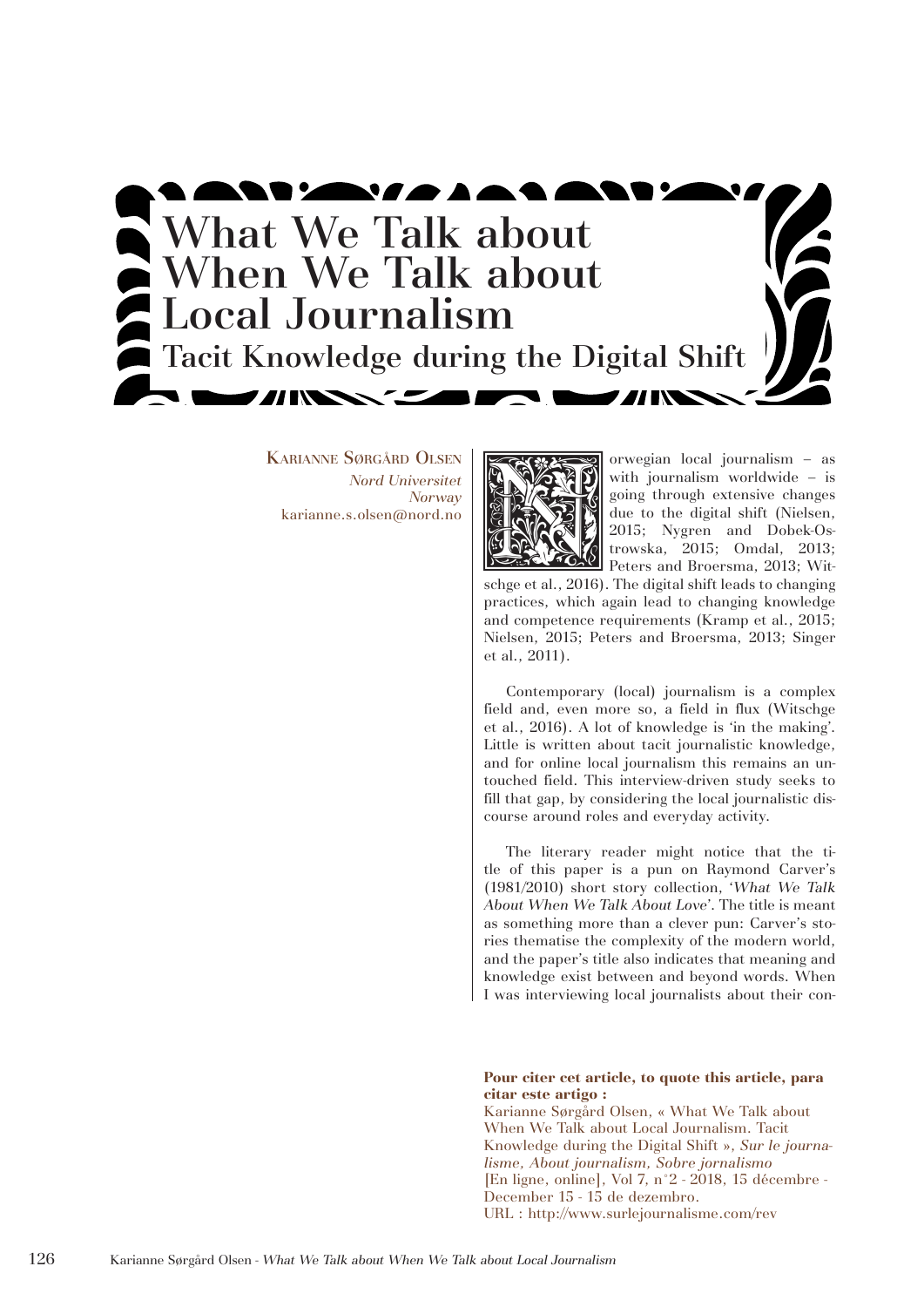

Karianne Sørgård Olsen *Nord Universitet Norway*



XARIANNE SØRGÅRD OLSEN Norway Nord Universitet Norway Norwegian local journalism  $-$  as an average with journalism worldwide  $-$  is going through extensive changes and solid and the digital shift (Nielsen, 2015; Nygren and with journalism worldwide – is going through extensive changes due to the digital shift (Nielsen, 2015; Nygren and Dobek-Ostrowska, 2015; Omdal, 2013; Peters and Broersma, 2013; Wit-

schge et al., 2016). The digital shift leads to changing practices, which again lead to changing knowledge and competence requirements (Kramp et al., 2015; Nielsen, 2015; Peters and Broersma, 2013; Singer et al., 2011).

Contemporary (local) journalism is a complex field and, even more so, a field in flux (Witschge et al., 2016). A lot of knowledge is 'in the making'. Little is written about tacit journalistic knowledge, and for online local journalism this remains an untouched field. This interview-driven study seeks to fill that gap, by considering the local journalistic discourse around roles and everyday activity.

The literary reader might notice that the title of this paper is a pun on Raymond Carver's (1981/2010) short story collection, '*What We Talk About When We Talk About Love*'. The title is meant as something more than a clever pun: Carver's stories thematise the complexity of the modern world, and the paper's title also indicates that meaning and knowledge exist between and beyond words. When I was interviewing local journalists about their con-

#### **Pour citer cet article, to quote this article, para citar este artigo :**

Karianne Sørgård Olsen, « What We Talk about When We Talk about Local Journalism. Tacit Knowledge during the Digital Shift », *Sur le journalisme, About journalism, Sobre jornalismo* [En ligne, online], Vol 7, n°2 - 2018, 15 décembre - December 15 - 15 de dezembro. URL : http://www.surlejournalisme.com/rev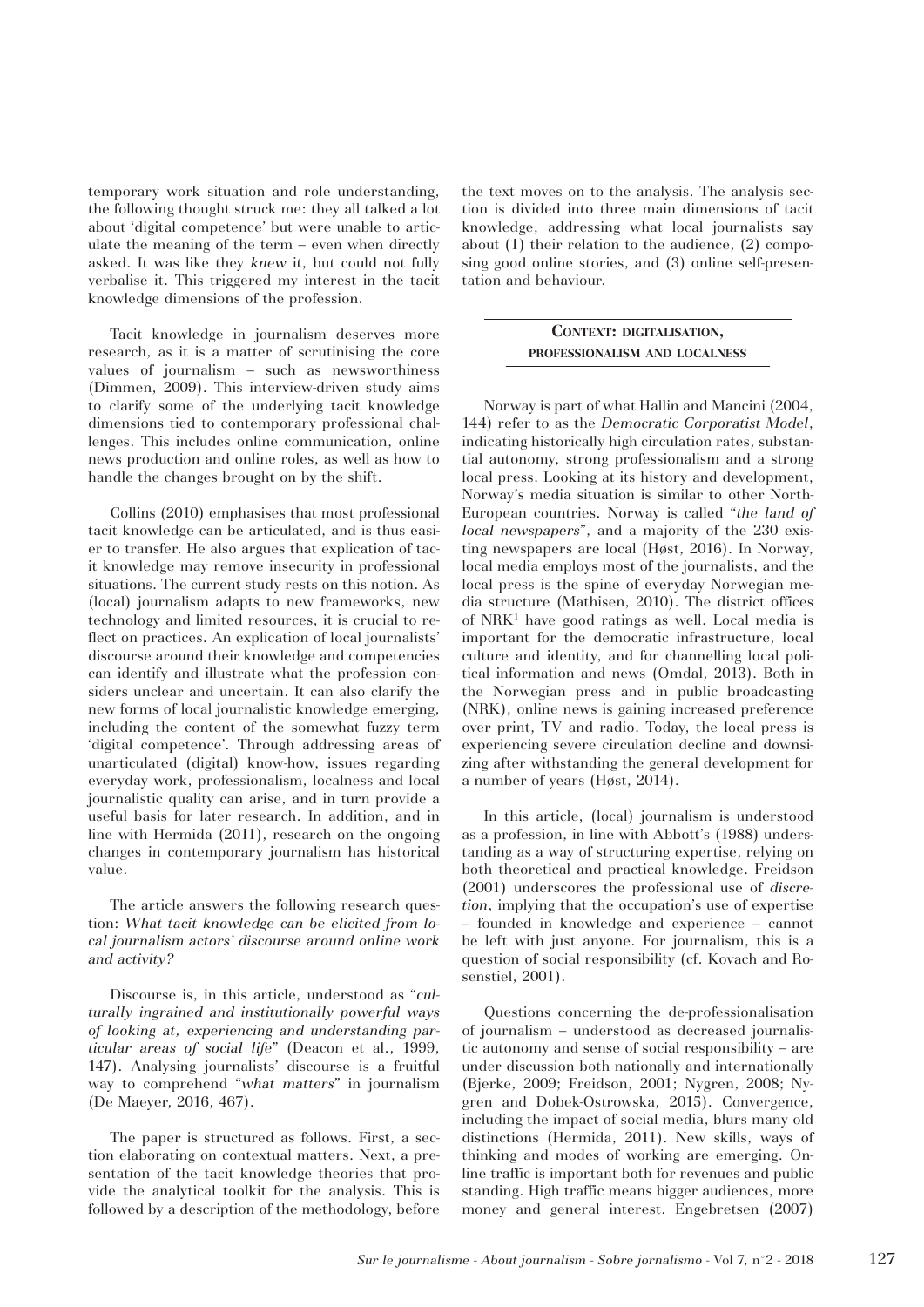temporary work situation and role understanding, the following thought struck me: they all talked a lot about 'digital competence' but were unable to articulate the meaning of the term – even when directly asked. It was like they *knew* it, but could not fully verbalise it. This triggered my interest in the tacit knowledge dimensions of the profession.

Tacit knowledge in journalism deserves more research, as it is a matter of scrutinising the core values of journalism – such as newsworthiness (Dimmen, 2009). This interview-driven study aims to clarify some of the underlying tacit knowledge dimensions tied to contemporary professional challenges. This includes online communication, online news production and online roles, as well as how to handle the changes brought on by the shift.

Collins (2010) emphasises that most professional tacit knowledge can be articulated, and is thus easier to transfer. He also argues that explication of tacit knowledge may remove insecurity in professional situations. The current study rests on this notion. As (local) journalism adapts to new frameworks, new technology and limited resources, it is crucial to reflect on practices. An explication of local journalists' discourse around their knowledge and competencies can identify and illustrate what the profession considers unclear and uncertain. It can also clarify the new forms of local journalistic knowledge emerging, including the content of the somewhat fuzzy term 'digital competence'. Through addressing areas of unarticulated (digital) know-how, issues regarding everyday work, professionalism, localness and local journalistic quality can arise, and in turn provide a useful basis for later research. In addition, and in line with Hermida (2011), research on the ongoing changes in contemporary journalism has historical value.

The article answers the following research question: *What tacit knowledge can be elicited from local journalism actors' discourse around online work and activity?* 

Discourse is, in this article, understood as "*culturally ingrained and institutionally powerful ways of looking at, experiencing and understanding particular areas of social life*" (Deacon et al., 1999, 147). Analysing journalists' discourse is a fruitful way to comprehend "*what matters*" in journalism (De Maeyer, 2016, 467).

The paper is structured as follows. First, a section elaborating on contextual matters. Next, a presentation of the tacit knowledge theories that provide the analytical toolkit for the analysis. This is followed by a description of the methodology, before the text moves on to the analysis. The analysis section is divided into three main dimensions of tacit knowledge, addressing what local journalists say about (1) their relation to the audience, (2) composing good online stories, and (3) online self-presentation and behaviour.

# **Context: digitalisation, professionalism and localness**

Norway is part of what Hallin and Mancini (2004, 144) refer to as the *Democratic Corporatist Model*, indicating historically high circulation rates, substantial autonomy, strong professionalism and a strong local press. Looking at its history and development, Norway's media situation is similar to other North-European countries. Norway is called "*the land of local newspapers*", and a majority of the 230 existing newspapers are local (Høst, 2016). In Norway, local media employs most of the journalists, and the local press is the spine of everyday Norwegian media structure (Mathisen, 2010). The district offices of NRK<sup>1</sup> have good ratings as well. Local media is important for the democratic infrastructure, local culture and identity, and for channelling local political information and news (Omdal, 2013). Both in the Norwegian press and in public broadcasting (NRK), online news is gaining increased preference over print, TV and radio. Today, the local press is experiencing severe circulation decline and downsizing after withstanding the general development for a number of years (Høst, 2014).

In this article, (local) journalism is understood as a profession, in line with Abbott's (1988) understanding as a way of structuring expertise, relying on both theoretical and practical knowledge. Freidson (2001) underscores the professional use of *discretion*, implying that the occupation's use of expertise – founded in knowledge and experience – cannot be left with just anyone. For journalism, this is a question of social responsibility (cf. Kovach and Rosenstiel, 2001).

Questions concerning the de-professionalisation of journalism – understood as decreased journalistic autonomy and sense of social responsibility – are under discussion both nationally and internationally (Bjerke, 2009; Freidson, 2001; Nygren, 2008; Nygren and Dobek-Ostrowska, 2015). Convergence, including the impact of social media, blurs many old distinctions (Hermida, 2011). New skills, ways of thinking and modes of working are emerging. Online traffic is important both for revenues and public standing. High traffic means bigger audiences, more money and general interest. Engebretsen (2007)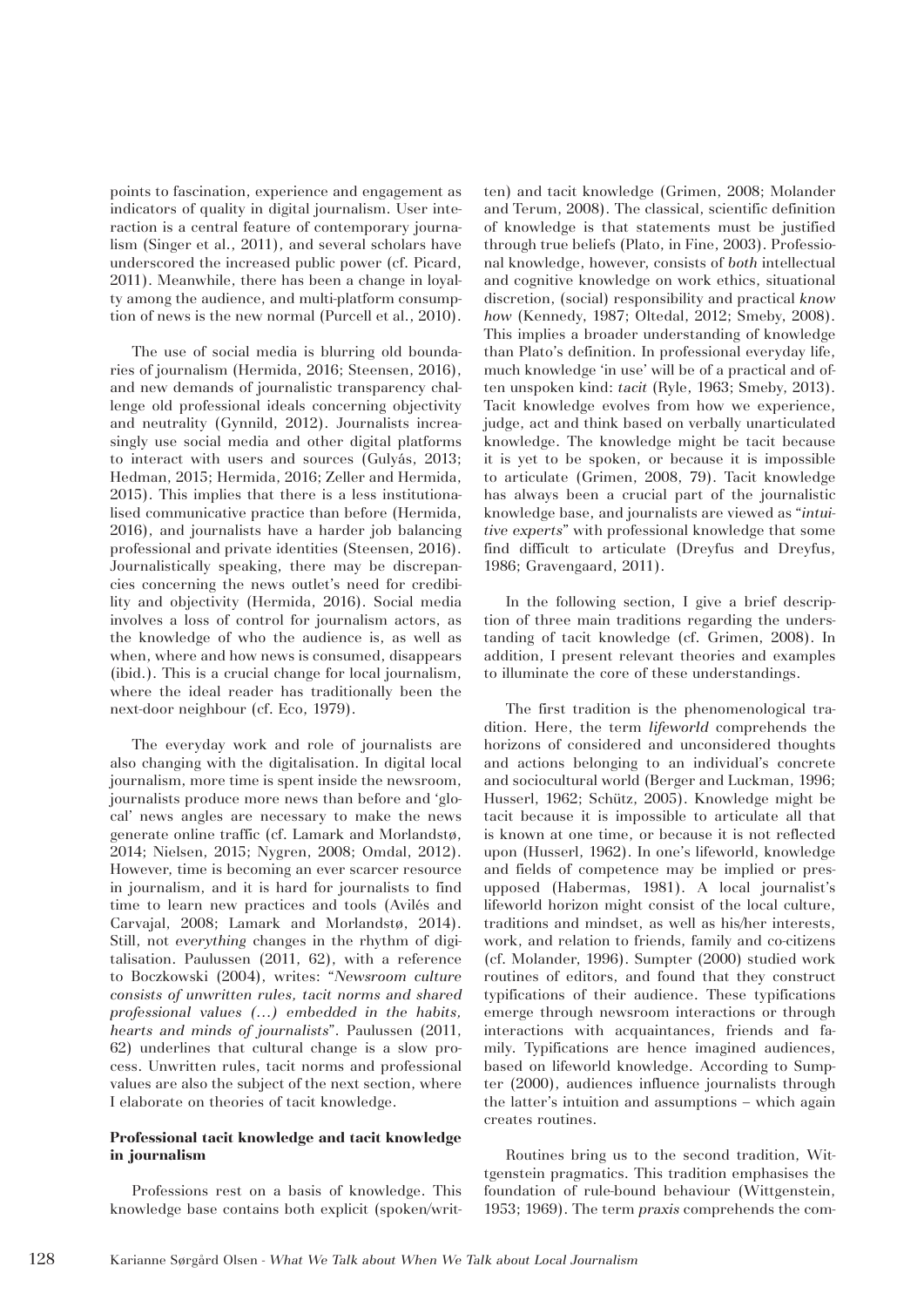points to fascination, experience and engagement as indicators of quality in digital journalism. User interaction is a central feature of contemporary journalism (Singer et al., 2011), and several scholars have underscored the increased public power (cf. Picard, 2011). Meanwhile, there has been a change in loyalty among the audience, and multi-platform consumption of news is the new normal (Purcell et al., 2010).

The use of social media is blurring old boundaries of journalism (Hermida, 2016; Steensen, 2016), and new demands of journalistic transparency challenge old professional ideals concerning objectivity and neutrality (Gynnild, 2012). Journalists increasingly use social media and other digital platforms to interact with users and sources (Gulyás, 2013; Hedman, 2015; Hermida, 2016; Zeller and Hermida, 2015). This implies that there is a less institutionalised communicative practice than before (Hermida, 2016), and journalists have a harder job balancing professional and private identities (Steensen, 2016). Journalistically speaking, there may be discrepancies concerning the news outlet's need for credibility and objectivity (Hermida, 2016). Social media involves a loss of control for journalism actors, as the knowledge of who the audience is, as well as when, where and how news is consumed, disappears (ibid.). This is a crucial change for local journalism, where the ideal reader has traditionally been the next-door neighbour (cf. Eco, 1979).

The everyday work and role of journalists are also changing with the digitalisation. In digital local journalism, more time is spent inside the newsroom, journalists produce more news than before and 'glocal' news angles are necessary to make the news generate online traffic (cf. Lamark and Morlandstø, 2014; Nielsen, 2015; Nygren, 2008; Omdal, 2012). However, time is becoming an ever scarcer resource in journalism, and it is hard for journalists to find time to learn new practices and tools (Avilés and Carvajal, 2008; Lamark and Morlandstø, 2014). Still, not *everything* changes in the rhythm of digitalisation. Paulussen (2011, 62), with a reference to Boczkowski (2004), writes: "*Newsroom culture consists of unwritten rules, tacit norms and shared professional values (…) embedded in the habits, hearts and minds of journalists*". Paulussen (2011, 62) underlines that cultural change is a slow process. Unwritten rules, tacit norms and professional values are also the subject of the next section, where I elaborate on theories of tacit knowledge.

## **Professional tacit knowledge and tacit knowledge in journalism**

Professions rest on a basis of knowledge. This knowledge base contains both explicit (spoken/written) and tacit knowledge (Grimen, 2008; Molander and Terum, 2008). The classical, scientific definition of knowledge is that statements must be justified through true beliefs (Plato, in Fine, 2003). Professional knowledge, however, consists of *both* intellectual and cognitive knowledge on work ethics, situational discretion, (social) responsibility and practical *know how* (Kennedy, 1987; Oltedal, 2012; Smeby, 2008). This implies a broader understanding of knowledge than Plato's definition. In professional everyday life, much knowledge 'in use' will be of a practical and often unspoken kind: *tacit* (Ryle, 1963; Smeby, 2013). Tacit knowledge evolves from how we experience, judge, act and think based on verbally unarticulated knowledge. The knowledge might be tacit because it is yet to be spoken, or because it is impossible to articulate (Grimen, 2008, 79). Tacit knowledge has always been a crucial part of the journalistic knowledge base, and journalists are viewed as "*intuitive experts*" with professional knowledge that some find difficult to articulate (Dreyfus and Dreyfus, 1986; Gravengaard, 2011).

In the following section, I give a brief description of three main traditions regarding the understanding of tacit knowledge (cf. Grimen, 2008). In addition, I present relevant theories and examples to illuminate the core of these understandings.

The first tradition is the phenomenological tradition. Here, the term *lifeworld* comprehends the horizons of considered and unconsidered thoughts and actions belonging to an individual's concrete and sociocultural world (Berger and Luckman, 1996; Husserl, 1962; Schütz, 2005). Knowledge might be tacit because it is impossible to articulate all that is known at one time, or because it is not reflected upon (Husserl, 1962). In one's lifeworld, knowledge and fields of competence may be implied or presupposed (Habermas, 1981). A local journalist's lifeworld horizon might consist of the local culture, traditions and mindset, as well as his/her interests, work, and relation to friends, family and co-citizens (cf. Molander, 1996). Sumpter (2000) studied work routines of editors, and found that they construct typifications of their audience. These typifications emerge through newsroom interactions or through interactions with acquaintances, friends and family. Typifications are hence imagined audiences, based on lifeworld knowledge. According to Sumpter (2000), audiences influence journalists through the latter's intuition and assumptions – which again creates routines.

Routines bring us to the second tradition, Wittgenstein pragmatics. This tradition emphasises the foundation of rule-bound behaviour (Wittgenstein, 1953; 1969). The term *praxis* comprehends the com-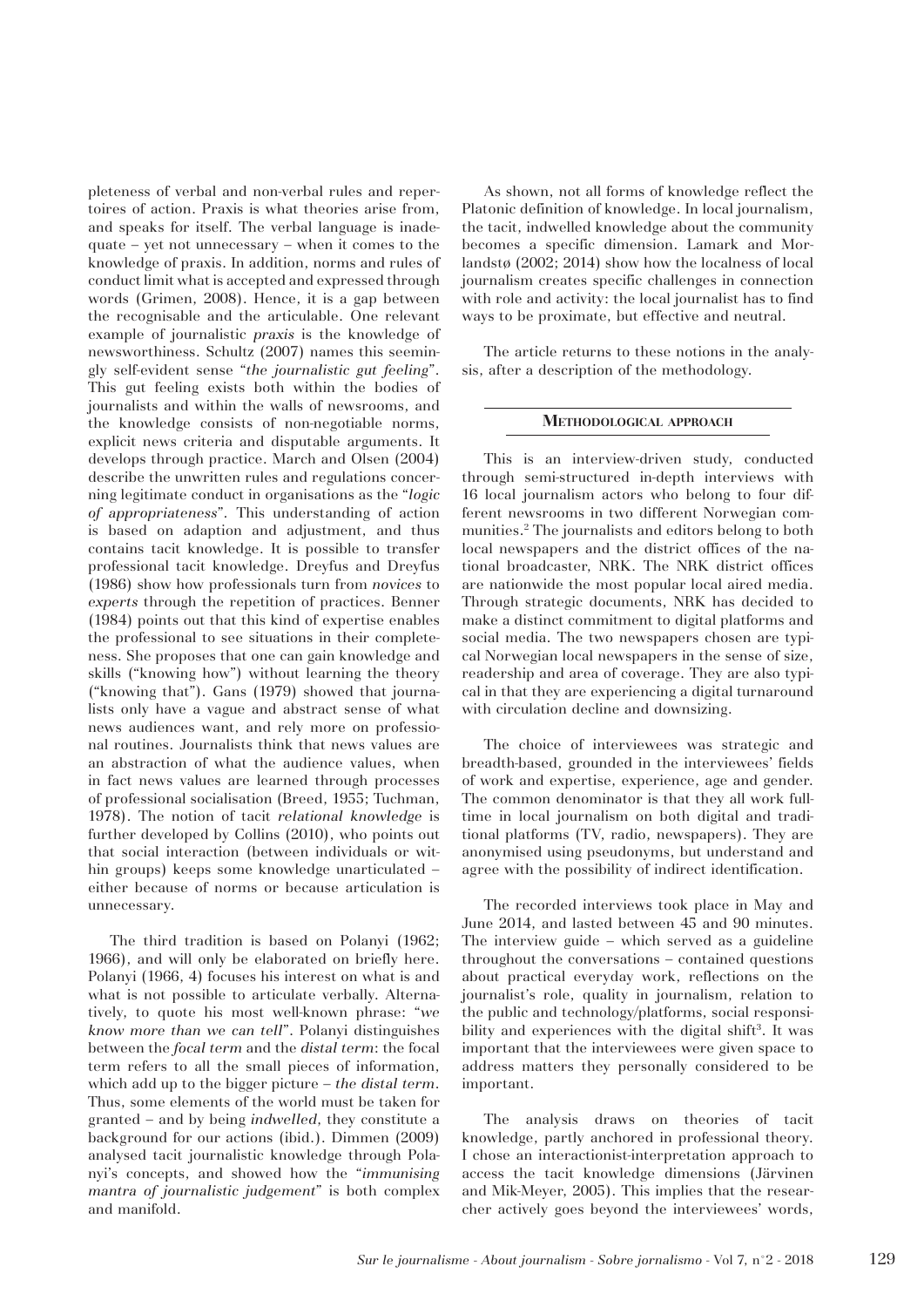pleteness of verbal and non-verbal rules and repertoires of action. Praxis is what theories arise from, and speaks for itself. The verbal language is inadequate – yet not unnecessary – when it comes to the knowledge of praxis. In addition, norms and rules of conduct limit what is accepted and expressed through words (Grimen, 2008). Hence, it is a gap between the recognisable and the articulable. One relevant example of journalistic *praxis* is the knowledge of newsworthiness. Schultz (2007) names this seemingly self-evident sense "*the journalistic gut feeling*". This gut feeling exists both within the bodies of journalists and within the walls of newsrooms, and the knowledge consists of non-negotiable norms, explicit news criteria and disputable arguments. It develops through practice. March and Olsen (2004) describe the unwritten rules and regulations concerning legitimate conduct in organisations as the "*logic of appropriateness*"*.* This understanding of action is based on adaption and adjustment, and thus contains tacit knowledge. It is possible to transfer professional tacit knowledge. Dreyfus and Dreyfus (1986) show how professionals turn from *novices* to *experts* through the repetition of practices. Benner (1984) points out that this kind of expertise enables the professional to see situations in their completeness. She proposes that one can gain knowledge and skills ("knowing how") without learning the theory ("knowing that"). Gans (1979) showed that journalists only have a vague and abstract sense of what news audiences want, and rely more on professional routines. Journalists think that news values are an abstraction of what the audience values, when in fact news values are learned through processes of professional socialisation (Breed, 1955; Tuchman, 1978). The notion of tacit *relational knowledge* is further developed by Collins (2010), who points out that social interaction (between individuals or within groups) keeps some knowledge unarticulated – either because of norms or because articulation is unnecessary.

The third tradition is based on Polanyi (1962; 1966), and will only be elaborated on briefly here. Polanyi (1966, 4) focuses his interest on what is and what is not possible to articulate verbally. Alternatively, to quote his most well-known phrase: "*we know more than we can tell*". Polanyi distinguishes between the *focal term* and the *distal term*: the focal term refers to all the small pieces of information, which add up to the bigger picture – *the distal term*. Thus, some elements of the world must be taken for granted – and by being *indwelled*, they constitute a background for our actions (ibid.). Dimmen (2009) analysed tacit journalistic knowledge through Polanyi's concepts, and showed how the "*immunising mantra of journalistic judgement*" is both complex and manifold.

As shown, not all forms of knowledge reflect the Platonic definition of knowledge. In local journalism, the tacit, indwelled knowledge about the community becomes a specific dimension. Lamark and Morlandstø (2002; 2014) show how the localness of local journalism creates specific challenges in connection with role and activity: the local journalist has to find ways to be proximate, but effective and neutral.

The article returns to these notions in the analysis, after a description of the methodology.

#### **Methodological approach**

This is an interview-driven study, conducted through semi-structured in-depth interviews with 16 local journalism actors who belong to four different newsrooms in two different Norwegian communities.2 The journalists and editors belong to both local newspapers and the district offices of the national broadcaster, NRK. The NRK district offices are nationwide the most popular local aired media. Through strategic documents, NRK has decided to make a distinct commitment to digital platforms and social media. The two newspapers chosen are typical Norwegian local newspapers in the sense of size, readership and area of coverage. They are also typical in that they are experiencing a digital turnaround with circulation decline and downsizing.

The choice of interviewees was strategic and breadth-based, grounded in the interviewees' fields of work and expertise, experience, age and gender. The common denominator is that they all work fulltime in local journalism on both digital and traditional platforms (TV, radio, newspapers). They are anonymised using pseudonyms, but understand and agree with the possibility of indirect identification.

The recorded interviews took place in May and June 2014, and lasted between 45 and 90 minutes. The interview guide – which served as a guideline throughout the conversations – contained questions about practical everyday work, reflections on the journalist's role, quality in journalism, relation to the public and technology/platforms, social responsibility and experiences with the digital shift<sup>3</sup>. It was important that the interviewees were given space to address matters they personally considered to be important.

The analysis draws on theories of tacit knowledge, partly anchored in professional theory. I chose an interactionist-interpretation approach to access the tacit knowledge dimensions (Järvinen and Mik-Meyer, 2005). This implies that the researcher actively goes beyond the interviewees' words,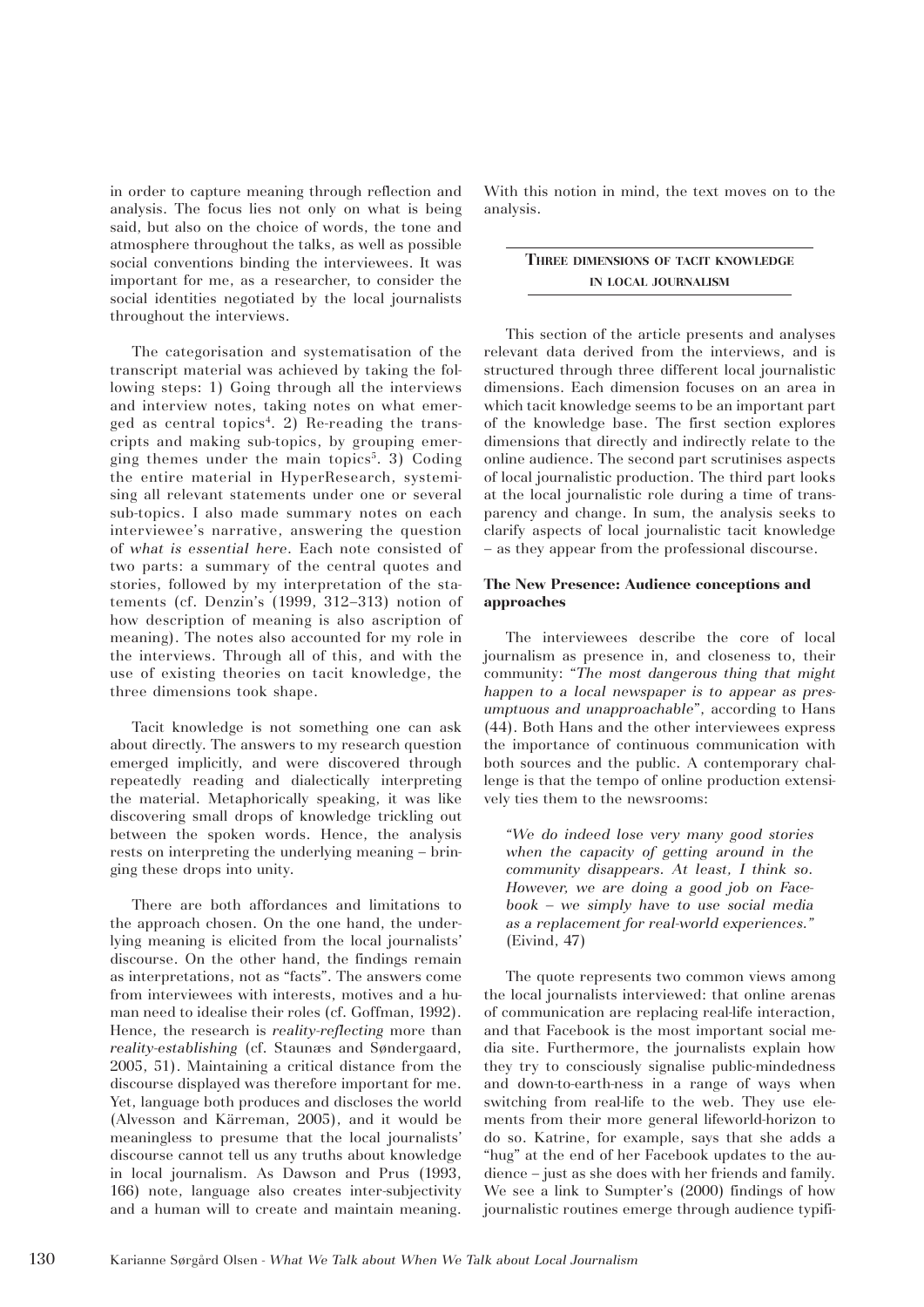in order to capture meaning through reflection and analysis. The focus lies not only on what is being said, but also on the choice of words, the tone and atmosphere throughout the talks, as well as possible social conventions binding the interviewees. It was important for me, as a researcher, to consider the social identities negotiated by the local journalists throughout the interviews.

The categorisation and systematisation of the transcript material was achieved by taking the following steps: 1) Going through all the interviews and interview notes, taking notes on what emerged as central topics<sup>4</sup>. 2) Re-reading the transcripts and making sub-topics, by grouping emerging themes under the main topics<sup>5</sup>. 3) Coding the entire material in HyperResearch, systemising all relevant statements under one or several sub-topics. I also made summary notes on each interviewee's narrative, answering the question of *what is essential here.* Each note consisted of two parts: a summary of the central quotes and stories, followed by my interpretation of the statements (cf. Denzin's (1999, 312–313) notion of how description of meaning is also ascription of meaning). The notes also accounted for my role in the interviews. Through all of this, and with the use of existing theories on tacit knowledge, the three dimensions took shape.

Tacit knowledge is not something one can ask about directly. The answers to my research question emerged implicitly, and were discovered through repeatedly reading and dialectically interpreting the material. Metaphorically speaking, it was like discovering small drops of knowledge trickling out between the spoken words. Hence, the analysis rests on interpreting the underlying meaning – bringing these drops into unity.

There are both affordances and limitations to the approach chosen. On the one hand, the underlying meaning is elicited from the local journalists' discourse. On the other hand, the findings remain as interpretations, not as "facts". The answers come from interviewees with interests, motives and a human need to idealise their roles (cf. Goffman, 1992). Hence, the research is *reality-reflecting* more than *reality-establishing* (cf. Staunæs and Søndergaard, 2005, 51). Maintaining a critical distance from the discourse displayed was therefore important for me. Yet, language both produces and discloses the world (Alvesson and Kärreman, 2005), and it would be meaningless to presume that the local journalists' discourse cannot tell us any truths about knowledge in local journalism. As Dawson and Prus (1993, 166) note, language also creates inter-subjectivity and a human will to create and maintain meaning. With this notion in mind, the text moves on to the analysis.

# **Three dimensions of tacit knowledge in local journalism**

This section of the article presents and analyses relevant data derived from the interviews, and is structured through three different local journalistic dimensions. Each dimension focuses on an area in which tacit knowledge seems to be an important part of the knowledge base. The first section explores dimensions that directly and indirectly relate to the online audience. The second part scrutinises aspects of local journalistic production. The third part looks at the local journalistic role during a time of transparency and change. In sum, the analysis seeks to clarify aspects of local journalistic tacit knowledge – as they appear from the professional discourse.

## **The New Presence: Audience conceptions and approaches**

The interviewees describe the core of local journalism as presence in, and closeness to, their community: "*The most dangerous thing that might happen to a local newspaper is to appear as presumptuous and unapproachable*", according to Hans (44). Both Hans and the other interviewees express the importance of continuous communication with both sources and the public. A contemporary challenge is that the tempo of online production extensively ties them to the newsrooms:

*"We do indeed lose very many good stories when the capacity of getting around in the community disappears. At least, I think so. However, we are doing a good job on Facebook – we simply have to use social media as a replacement for real-world experiences."*  (Eivind, 47)

The quote represents two common views among the local journalists interviewed: that online arenas of communication are replacing real-life interaction, and that Facebook is the most important social media site. Furthermore, the journalists explain how they try to consciously signalise public-mindedness and down-to-earth-ness in a range of ways when switching from real-life to the web. They use elements from their more general lifeworld-horizon to do so. Katrine, for example, says that she adds a "hug" at the end of her Facebook updates to the audience – just as she does with her friends and family. We see a link to Sumpter's (2000) findings of how journalistic routines emerge through audience typifi-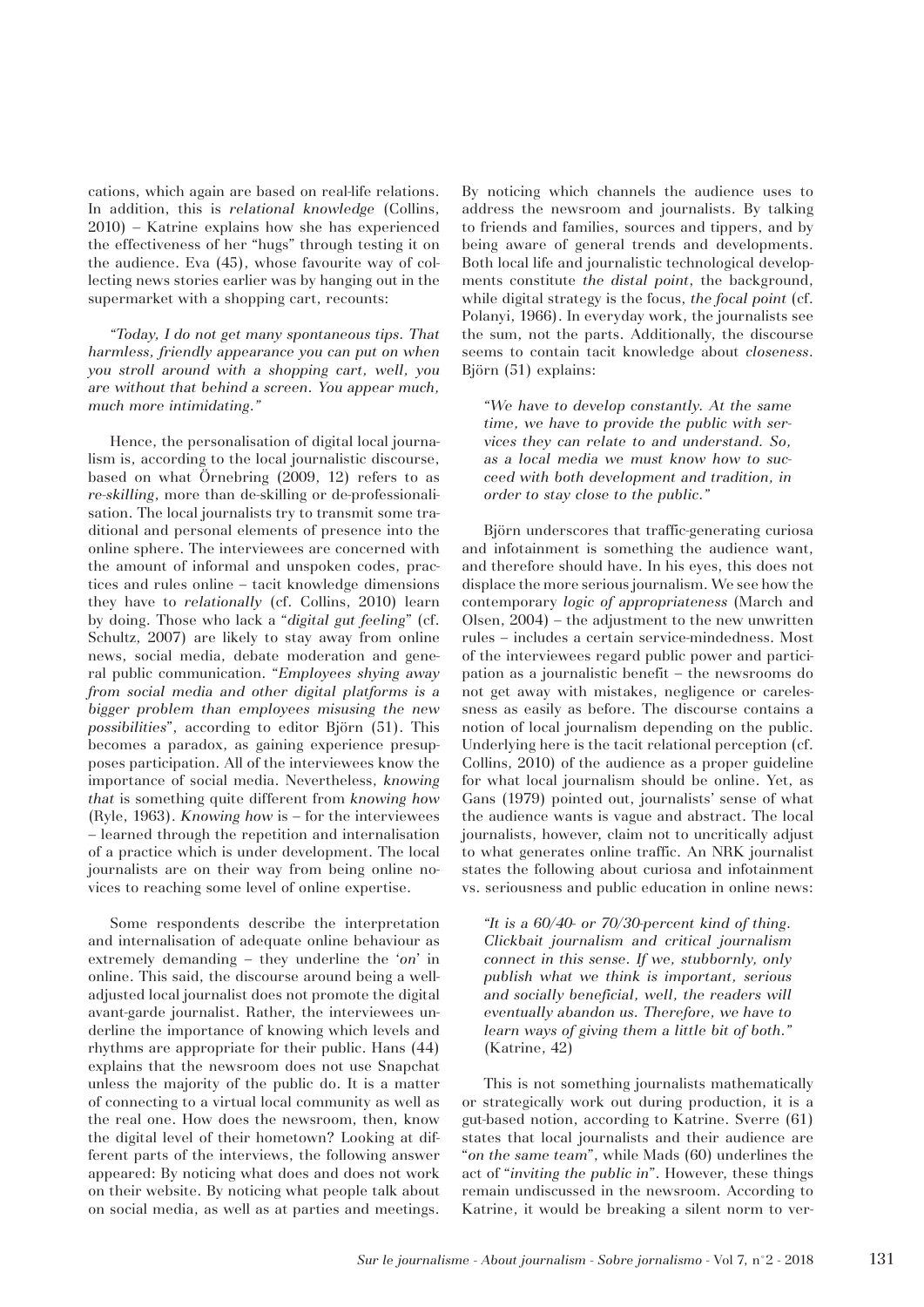cations, which again are based on real-life relations. In addition, this is *relational knowledge* (Collins, 2010) *–* Katrine explains how she has experienced the effectiveness of her "hugs" through testing it on the audience. Eva (45), whose favourite way of collecting news stories earlier was by hanging out in the supermarket with a shopping cart, recounts:

*"Today, I do not get many spontaneous tips. That harmless, friendly appearance you can put on when you stroll around with a shopping cart, well, you are without that behind a screen. You appear much, much more intimidating."* 

Hence, the personalisation of digital local journalism is, according to the local journalistic discourse, based on what Örnebring (2009, 12) refers to as *re-skilling*, more than de-skilling or de-professionalisation. The local journalists try to transmit some traditional and personal elements of presence into the online sphere. The interviewees are concerned with the amount of informal and unspoken codes, practices and rules online – tacit knowledge dimensions they have to *relationally* (cf. Collins, 2010) learn by doing. Those who lack a "*digital gut feeling*" (cf. Schultz, 2007) are likely to stay away from online news, social media, debate moderation and general public communication. "*Employees shying away from social media and other digital platforms is a bigger problem than employees misusing the new possibilities*", according to editor Björn (51). This becomes a paradox, as gaining experience presupposes participation. All of the interviewees know the importance of social media. Nevertheless, *knowing that* is something quite different from *knowing how*  (Ryle, 1963). *Knowing how* is – for the interviewees – learned through the repetition and internalisation of a practice which is under development. The local journalists are on their way from being online novices to reaching some level of online expertise.

Some respondents describe the interpretation and internalisation of adequate online behaviour as extremely demanding – they underline the '*on*' in online. This said, the discourse around being a welladjusted local journalist does not promote the digital avant-garde journalist. Rather, the interviewees underline the importance of knowing which levels and rhythms are appropriate for their public. Hans (44) explains that the newsroom does not use Snapchat unless the majority of the public do. It is a matter of connecting to a virtual local community as well as the real one. How does the newsroom, then, know the digital level of their hometown? Looking at different parts of the interviews, the following answer appeared: By noticing what does and does not work on their website. By noticing what people talk about on social media, as well as at parties and meetings.

By noticing which channels the audience uses to address the newsroom and journalists. By talking to friends and families, sources and tippers, and by being aware of general trends and developments. Both local life and journalistic technological developments constitute *the distal point*, the background, while digital strategy is the focus, *the focal point* (cf. Polanyi, 1966). In everyday work, the journalists see the sum, not the parts. Additionally, the discourse seems to contain tacit knowledge about *closeness*. Björn (51) explains:

*"We have to develop constantly. At the same time, we have to provide the public with services they can relate to and understand. So, as a local media we must know how to succeed with both development and tradition, in order to stay close to the public."* 

Björn underscores that traffic-generating curiosa and infotainment is something the audience want, and therefore should have. In his eyes, this does not displace the more serious journalism. We see how the contemporary *logic of appropriateness* (March and Olsen, 2004) – the adjustment to the new unwritten rules – includes a certain service-mindedness. Most of the interviewees regard public power and participation as a journalistic benefit – the newsrooms do not get away with mistakes, negligence or carelessness as easily as before. The discourse contains a notion of local journalism depending on the public. Underlying here is the tacit relational perception (cf. Collins, 2010) of the audience as a proper guideline for what local journalism should be online. Yet, as Gans (1979) pointed out, journalists' sense of what the audience wants is vague and abstract. The local journalists, however, claim not to uncritically adjust to what generates online traffic. An NRK journalist states the following about curiosa and infotainment vs. seriousness and public education in online news:

*"It is a 60/40- or 70/30-percent kind of thing. Clickbait journalism and critical journalism connect in this sense. If we, stubbornly, only publish what we think is important, serious and socially beneficial, well, the readers will eventually abandon us. Therefore, we have to learn ways of giving them a little bit of both."* (Katrine, 42)

This is not something journalists mathematically or strategically work out during production, it is a gut-based notion, according to Katrine. Sverre (61) states that local journalists and their audience are "*on the same team*", while Mads (60) underlines the act of "*inviting the public in*". However, these things remain undiscussed in the newsroom. According to Katrine, it would be breaking a silent norm to ver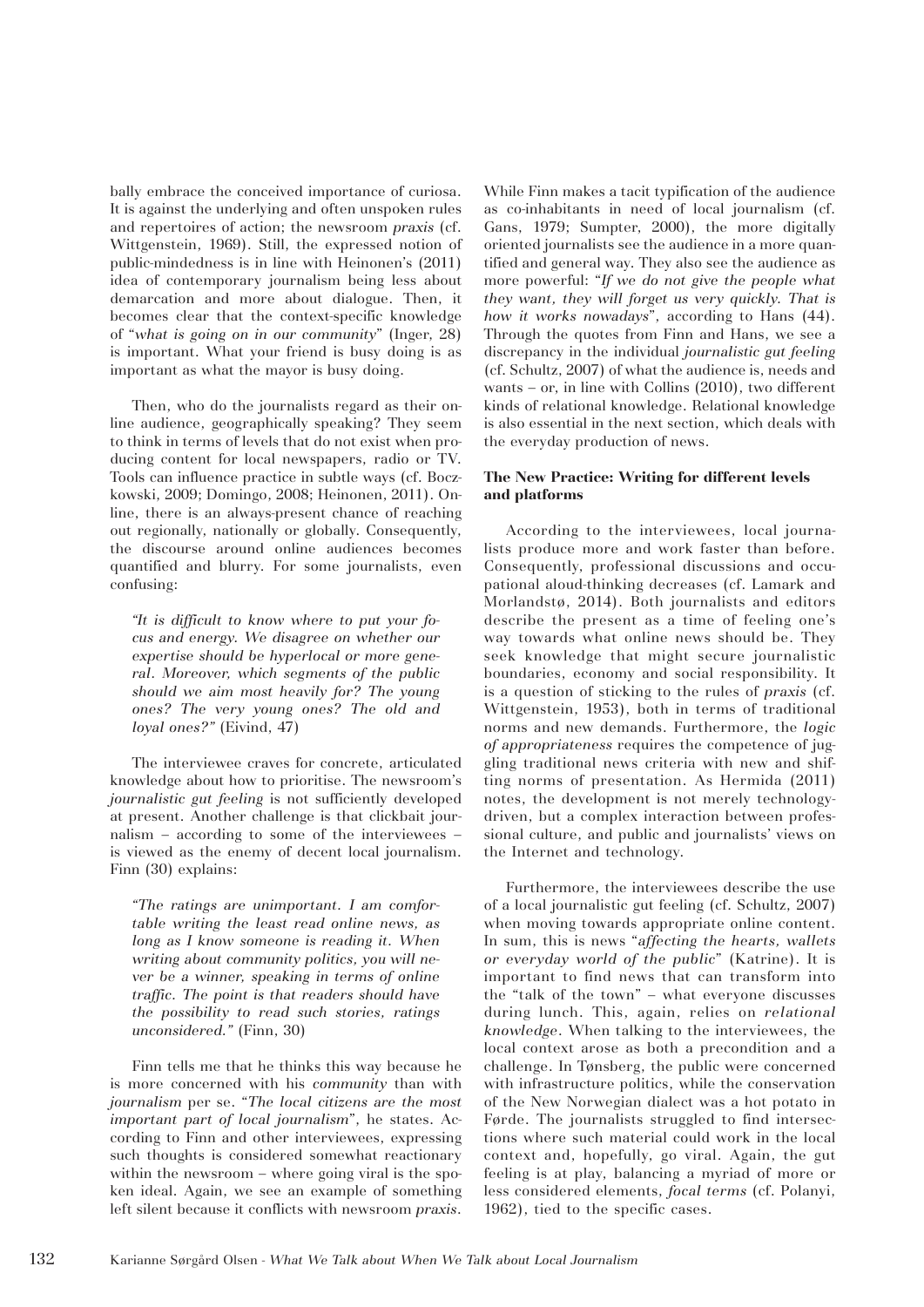bally embrace the conceived importance of curiosa. It is against the underlying and often unspoken rules and repertoires of action; the newsroom *praxis* (cf. Wittgenstein, 1969). Still, the expressed notion of public-mindedness is in line with Heinonen's (2011) idea of contemporary journalism being less about demarcation and more about dialogue. Then, it becomes clear that the context-specific knowledge of "*what is going on in our community*" (Inger, 28) is important. What your friend is busy doing is as important as what the mayor is busy doing.

Then, who do the journalists regard as their online audience, geographically speaking? They seem to think in terms of levels that do not exist when producing content for local newspapers, radio or TV. Tools can influence practice in subtle ways (cf. Boczkowski, 2009; Domingo, 2008; Heinonen, 2011). Online, there is an always-present chance of reaching out regionally, nationally or globally. Consequently, the discourse around online audiences becomes quantified and blurry. For some journalists, even confusing:

*"It is difficult to know where to put your focus and energy. We disagree on whether our expertise should be hyperlocal or more general. Moreover, which segments of the public should we aim most heavily for? The young ones? The very young ones? The old and loyal ones?"* (Eivind, 47)

The interviewee craves for concrete, articulated knowledge about how to prioritise. The newsroom's *journalistic gut feeling* is not sufficiently developed at present. Another challenge is that clickbait journalism – according to some of the interviewees – is viewed as the enemy of decent local journalism. Finn (30) explains:

*"The ratings are unimportant. I am comfortable writing the least read online news, as long as I know someone is reading it. When writing about community politics, you will never be a winner, speaking in terms of online traffic. The point is that readers should have the possibility to read such stories, ratings unconsidered."* (Finn, 30)

Finn tells me that he thinks this way because he is more concerned with his *community* than with *journalism* per se. "*The local citizens are the most important part of local journalism*", he states. According to Finn and other interviewees, expressing such thoughts is considered somewhat reactionary within the newsroom – where going viral is the spoken ideal. Again, we see an example of something left silent because it conflicts with newsroom *praxis*. While Finn makes a tacit typification of the audience as co-inhabitants in need of local journalism (cf. Gans, 1979; Sumpter, 2000), the more digitally oriented journalists see the audience in a more quantified and general way. They also see the audience as more powerful: "*If we do not give the people what they want, they will forget us very quickly. That is how it works nowadays*", according to Hans (44). Through the quotes from Finn and Hans, we see a discrepancy in the individual *journalistic gut feeling* (cf. Schultz, 2007) of what the audience is, needs and wants – or, in line with Collins (2010), two different kinds of relational knowledge. Relational knowledge is also essential in the next section, which deals with the everyday production of news.

# **The New Practice: Writing for different levels and platforms**

According to the interviewees, local journalists produce more and work faster than before. Consequently, professional discussions and occupational aloud-thinking decreases (cf. Lamark and Morlandstø, 2014). Both journalists and editors describe the present as a time of feeling one's way towards what online news should be. They seek knowledge that might secure journalistic boundaries, economy and social responsibility. It is a question of sticking to the rules of *praxis* (cf. Wittgenstein, 1953), both in terms of traditional norms and new demands. Furthermore, the *logic of appropriateness* requires the competence of juggling traditional news criteria with new and shifting norms of presentation. As Hermida (2011) notes, the development is not merely technologydriven, but a complex interaction between professional culture, and public and journalists' views on the Internet and technology.

Furthermore, the interviewees describe the use of a local journalistic gut feeling (cf. Schultz, 2007) when moving towards appropriate online content. In sum, this is news "*affecting the hearts, wallets or everyday world of the public*" (Katrine). It is important to find news that can transform into the "talk of the town" – what everyone discusses during lunch. This, again, relies on *relational knowledge*. When talking to the interviewees, the local context arose as both a precondition and a challenge. In Tønsberg, the public were concerned with infrastructure politics, while the conservation of the New Norwegian dialect was a hot potato in Førde. The journalists struggled to find intersections where such material could work in the local context and, hopefully, go viral. Again, the gut feeling is at play, balancing a myriad of more or less considered elements, *focal terms* (cf. Polanyi, 1962), tied to the specific cases.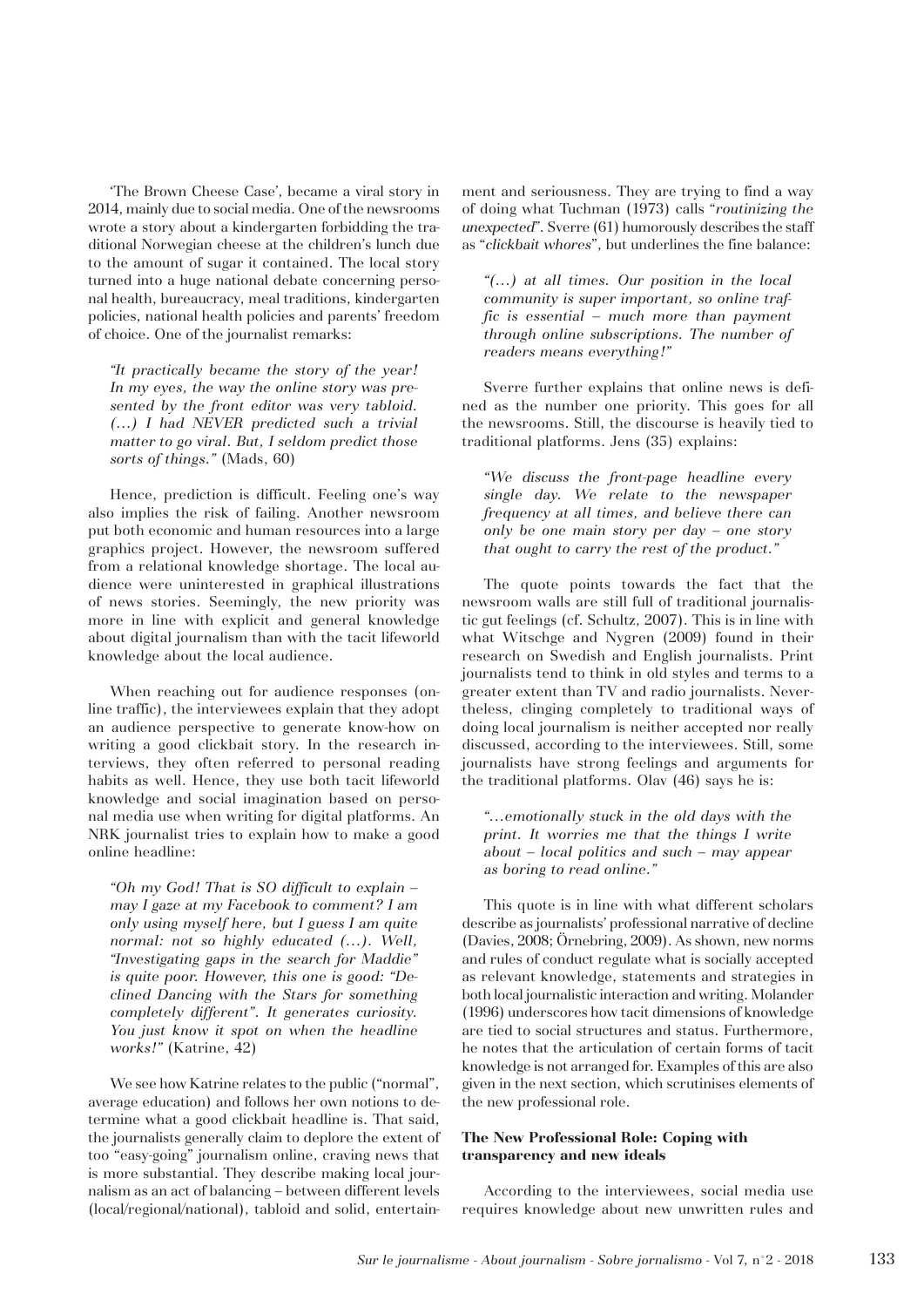'The Brown Cheese Case', became a viral story in 2014, mainly due to social media. One of the newsrooms wrote a story about a kindergarten forbidding the traditional Norwegian cheese at the children's lunch due to the amount of sugar it contained. The local story turned into a huge national debate concerning personal health, bureaucracy, meal traditions, kindergarten policies, national health policies and parents' freedom of choice. One of the journalist remarks:

*"It practically became the story of the year! In my eyes, the way the online story was presented by the front editor was very tabloid. (…) I had NEVER predicted such a trivial matter to go viral. But, I seldom predict those sorts of things."* (Mads, 60)

Hence, prediction is difficult. Feeling one's way also implies the risk of failing. Another newsroom put both economic and human resources into a large graphics project. However, the newsroom suffered from a relational knowledge shortage. The local audience were uninterested in graphical illustrations of news stories. Seemingly, the new priority was more in line with explicit and general knowledge about digital journalism than with the tacit lifeworld knowledge about the local audience.

When reaching out for audience responses (online traffic), the interviewees explain that they adopt an audience perspective to generate know-how on writing a good clickbait story. In the research interviews, they often referred to personal reading habits as well. Hence, they use both tacit lifeworld knowledge and social imagination based on personal media use when writing for digital platforms. An NRK journalist tries to explain how to make a good online headline:

*"Oh my God! That is SO difficult to explain – may I gaze at my Facebook to comment? I am only using myself here, but I guess I am quite normal: not so highly educated (…). Well, "Investigating gaps in the search for Maddie" is quite poor. However, this one is good: "Declined Dancing with the Stars for something completely different". It generates curiosity. You just know it spot on when the headline works!"* (Katrine, 42)

We see how Katrine relates to the public ("normal", average education) and follows her own notions to determine what a good clickbait headline is. That said, the journalists generally claim to deplore the extent of too "easy-going" journalism online, craving news that is more substantial. They describe making local journalism as an act of balancing – between different levels (local/regional/national), tabloid and solid, entertainment and seriousness. They are trying to find a way of doing what Tuchman (1973) calls "*routinizing the unexpected*"*.* Sverre (61) humorously describes the staff as "*clickbait whores*", but underlines the fine balance:

*"(…) at all times. Our position in the local community is super important, so online traffic is essential – much more than payment through online subscriptions. The number of readers means everything!"* 

Sverre further explains that online news is defined as the number one priority. This goes for all the newsrooms. Still, the discourse is heavily tied to traditional platforms. Jens (35) explains:

*"We discuss the front-page headline every single day. We relate to the newspaper frequency at all times, and believe there can only be one main story per day – one story that ought to carry the rest of the product."* 

The quote points towards the fact that the newsroom walls are still full of traditional journalistic gut feelings (cf. Schultz, 2007)*.* This is in line with what Witschge and Nygren (2009) found in their research on Swedish and English journalists. Print journalists tend to think in old styles and terms to a greater extent than TV and radio journalists. Nevertheless, clinging completely to traditional ways of doing local journalism is neither accepted nor really discussed, according to the interviewees. Still, some journalists have strong feelings and arguments for the traditional platforms. Olav (46) says he is:

*"…emotionally stuck in the old days with the print. It worries me that the things I write about – local politics and such – may appear as boring to read online."*

This quote is in line with what different scholars describe as journalists' professional narrative of decline (Davies, 2008; Örnebring, 2009). As shown, new norms and rules of conduct regulate what is socially accepted as relevant knowledge, statements and strategies in both local journalistic interaction and writing. Molander (1996) underscores how tacit dimensions of knowledge are tied to social structures and status. Furthermore, he notes that the articulation of certain forms of tacit knowledge is not arranged for. Examples of this are also given in the next section, which scrutinises elements of the new professional role.

## **The New Professional Role: Coping with transparency and new ideals**

According to the interviewees, social media use requires knowledge about new unwritten rules and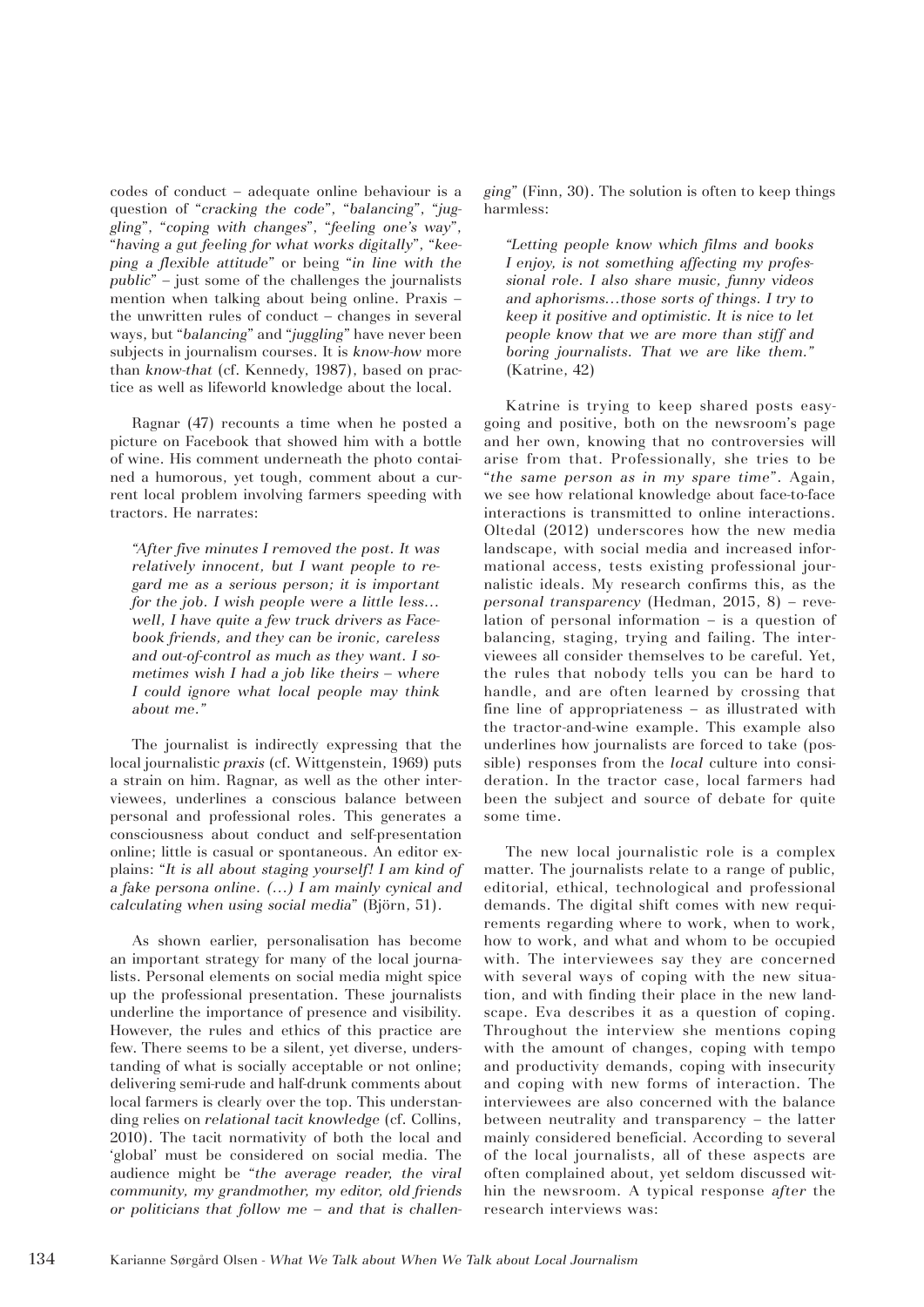codes of conduct – adequate online behaviour is a question of "*cracking the code*", "*balancing*", "*juggling*", "*coping with changes*", "*feeling one's way*", "*having a gut feeling for what works digitally*", "*keeping a flexible attitude*" or being "*in line with the public*" – just some of the challenges the journalists mention when talking about being online. Praxis – the unwritten rules of conduct *–* changes in several ways, but "*balancing*" and "*juggling*" have never been subjects in journalism courses. It is *know-how* more than *know-that* (cf. Kennedy, 1987), based on practice as well as lifeworld knowledge about the local.

Ragnar (47) recounts a time when he posted a picture on Facebook that showed him with a bottle of wine. His comment underneath the photo contained a humorous, yet tough, comment about a current local problem involving farmers speeding with tractors. He narrates:

*"After five minutes I removed the post. It was relatively innocent, but I want people to regard me as a serious person; it is important for the job. I wish people were a little less… well, I have quite a few truck drivers as Facebook friends, and they can be ironic, careless and out-of-control as much as they want. I sometimes wish I had a job like theirs – where I could ignore what local people may think about me."*

The journalist is indirectly expressing that the local journalistic *praxis* (cf. Wittgenstein, 1969) puts a strain on him. Ragnar, as well as the other interviewees, underlines a conscious balance between personal and professional roles. This generates a consciousness about conduct and self-presentation online; little is casual or spontaneous. An editor explains: "*It is all about staging yourself! I am kind of a fake persona online. (…) I am mainly cynical and calculating when using social media*" (Björn, 51).

As shown earlier, personalisation has become an important strategy for many of the local journalists. Personal elements on social media might spice up the professional presentation. These journalists underline the importance of presence and visibility. However, the rules and ethics of this practice are few. There seems to be a silent, yet diverse, understanding of what is socially acceptable or not online; delivering semi-rude and half-drunk comments about local farmers is clearly over the top. This understanding relies on *relational tacit knowledge* (cf. Collins, 2010). The tacit normativity of both the local and 'global' must be considered on social media. The audience might be "*the average reader, the viral community, my grandmother, my editor, old friends or politicians that follow me – and that is challen-* *ging*" (Finn, 30). The solution is often to keep things harmless:

*"Letting people know which films and books I enjoy, is not something affecting my professional role. I also share music, funny videos and aphorisms…those sorts of things. I try to keep it positive and optimistic. It is nice to let people know that we are more than stiff and boring journalists. That we are like them."* (Katrine, 42)

Katrine is trying to keep shared posts easygoing and positive, both on the newsroom's page and her own, knowing that no controversies will arise from that. Professionally, she tries to be "*the same person as in my spare time*". Again, we see how relational knowledge about face-to-face interactions is transmitted to online interactions. Oltedal (2012) underscores how the new media landscape, with social media and increased informational access, tests existing professional journalistic ideals. My research confirms this, as the *personal transparency* (Hedman, 2015, 8) – revelation of personal information – is a question of balancing, staging, trying and failing. The interviewees all consider themselves to be careful. Yet, the rules that nobody tells you can be hard to handle, and are often learned by crossing that fine line of appropriateness – as illustrated with the tractor-and-wine example. This example also underlines how journalists are forced to take (possible) responses from the *local* culture into consideration. In the tractor case, local farmers had been the subject and source of debate for quite some time.

The new local journalistic role is a complex matter. The journalists relate to a range of public, editorial, ethical, technological and professional demands. The digital shift comes with new requirements regarding where to work, when to work, how to work, and what and whom to be occupied with. The interviewees say they are concerned with several ways of coping with the new situation, and with finding their place in the new landscape. Eva describes it as a question of coping. Throughout the interview she mentions coping with the amount of changes, coping with tempo and productivity demands, coping with insecurity and coping with new forms of interaction. The interviewees are also concerned with the balance between neutrality and transparency – the latter mainly considered beneficial. According to several of the local journalists, all of these aspects are often complained about, yet seldom discussed within the newsroom. A typical response *after* the research interviews was: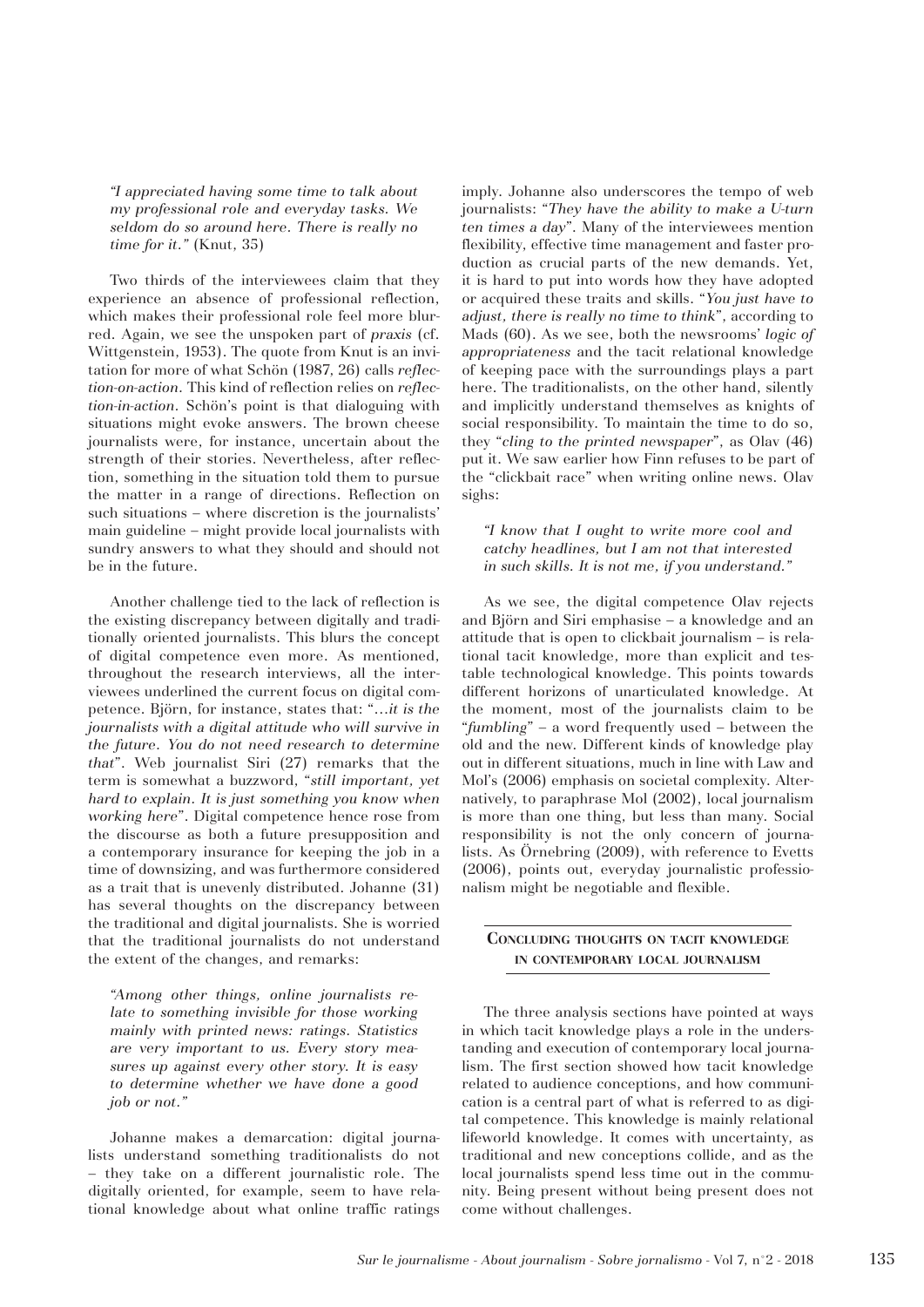*"I appreciated having some time to talk about my professional role and everyday tasks. We seldom do so around here. There is really no time for it."* (Knut, 35)

Two thirds of the interviewees claim that they experience an absence of professional reflection, which makes their professional role feel more blurred. Again, we see the unspoken part of *praxis* (cf. Wittgenstein, 1953). The quote from Knut is an invitation for more of what Schön (1987, 26) calls *reflection-on-action.* This kind of reflection relies on *reflection-in-action.* Schön's point is that dialoguing with situations might evoke answers. The brown cheese journalists were, for instance, uncertain about the strength of their stories. Nevertheless, after reflection, something in the situation told them to pursue the matter in a range of directions. Reflection on such situations – where discretion is the journalists' main guideline – might provide local journalists with sundry answers to what they should and should not be in the future.

Another challenge tied to the lack of reflection is the existing discrepancy between digitally and traditionally oriented journalists. This blurs the concept of digital competence even more. As mentioned, throughout the research interviews, all the interviewees underlined the current focus on digital competence. Björn, for instance, states that: "…*it is the journalists with a digital attitude who will survive in the future. You do not need research to determine that*". Web journalist Siri (27) remarks that the term is somewhat a buzzword, "*still important, yet hard to explain. It is just something you know when working here*". Digital competence hence rose from the discourse as both a future presupposition and a contemporary insurance for keeping the job in a time of downsizing, and was furthermore considered as a trait that is unevenly distributed. Johanne (31) has several thoughts on the discrepancy between the traditional and digital journalists. She is worried that the traditional journalists do not understand the extent of the changes, and remarks:

*"Among other things, online journalists relate to something invisible for those working mainly with printed news: ratings. Statistics are very important to us. Every story measures up against every other story. It is easy to determine whether we have done a good job or not."* 

Johanne makes a demarcation: digital journalists understand something traditionalists do not – they take on a different journalistic role. The digitally oriented, for example, seem to have relational knowledge about what online traffic ratings

imply. Johanne also underscores the tempo of web journalists: "*They have the ability to make a U-turn ten times a day*". Many of the interviewees mention flexibility, effective time management and faster production as crucial parts of the new demands. Yet, it is hard to put into words how they have adopted or acquired these traits and skills. "*You just have to adjust, there is really no time to think*", according to Mads (60). As we see, both the newsrooms' *logic of appropriateness* and the tacit relational knowledge of keeping pace with the surroundings plays a part here. The traditionalists, on the other hand, silently and implicitly understand themselves as knights of social responsibility. To maintain the time to do so, they "*cling to the printed newspaper*", as Olav (46) put it. We saw earlier how Finn refuses to be part of the "clickbait race" when writing online news. Olav sighs:

*"I know that I ought to write more cool and catchy headlines, but I am not that interested in such skills. It is not me, if you understand."*

As we see, the digital competence Olav rejects and Björn and Siri emphasise – a knowledge and an attitude that is open to clickbait journalism – is relational tacit knowledge, more than explicit and testable technological knowledge. This points towards different horizons of unarticulated knowledge. At the moment, most of the journalists claim to be "*fumbling*" – a word frequently used – between the old and the new. Different kinds of knowledge play out in different situations, much in line with Law and Mol's (2006) emphasis on societal complexity. Alternatively, to paraphrase Mol (2002), local journalism is more than one thing, but less than many. Social responsibility is not the only concern of journalists. As Örnebring (2009), with reference to Evetts (2006), points out, everyday journalistic professionalism might be negotiable and flexible.

# **Concluding thoughts on tacit knowledge in contemporary local journalism**

The three analysis sections have pointed at ways in which tacit knowledge plays a role in the understanding and execution of contemporary local journalism. The first section showed how tacit knowledge related to audience conceptions, and how communication is a central part of what is referred to as digital competence. This knowledge is mainly relational lifeworld knowledge. It comes with uncertainty, as traditional and new conceptions collide, and as the local journalists spend less time out in the community. Being present without being present does not come without challenges.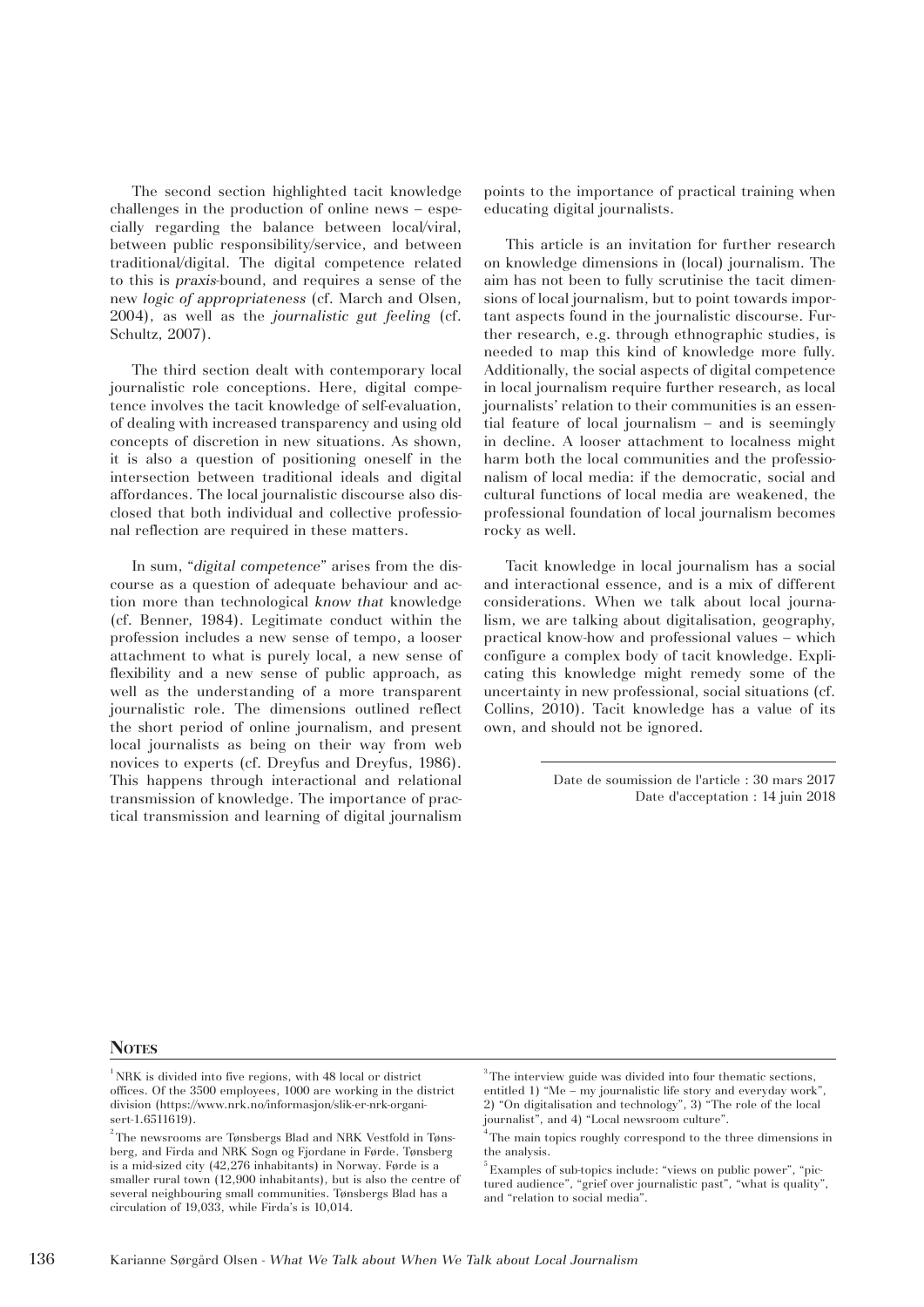The second section highlighted tacit knowledge challenges in the production of online news – especially regarding the balance between local/viral, between public responsibility/service, and between traditional/digital. The digital competence related to this is *praxis*-bound, and requires a sense of the new *logic of appropriateness* (cf. March and Olsen, 2004), as well as the *journalistic gut feeling* (cf. Schultz, 2007).

The third section dealt with contemporary local journalistic role conceptions. Here, digital competence involves the tacit knowledge of self-evaluation, of dealing with increased transparency and using old concepts of discretion in new situations. As shown, it is also a question of positioning oneself in the intersection between traditional ideals and digital affordances. The local journalistic discourse also disclosed that both individual and collective professional reflection are required in these matters.

In sum, "*digital competence*" arises from the discourse as a question of adequate behaviour and action more than technological *know that* knowledge (cf. Benner, 1984). Legitimate conduct within the profession includes a new sense of tempo, a looser attachment to what is purely local, a new sense of flexibility and a new sense of public approach, as well as the understanding of a more transparent journalistic role. The dimensions outlined reflect the short period of online journalism, and present local journalists as being on their way from web novices to experts (cf. Dreyfus and Dreyfus, 1986). This happens through interactional and relational transmission of knowledge. The importance of practical transmission and learning of digital journalism points to the importance of practical training when educating digital journalists.

This article is an invitation for further research on knowledge dimensions in (local) journalism. The aim has not been to fully scrutinise the tacit dimensions of local journalism, but to point towards important aspects found in the journalistic discourse. Further research, e.g. through ethnographic studies, is needed to map this kind of knowledge more fully. Additionally, the social aspects of digital competence in local journalism require further research, as local journalists' relation to their communities is an essential feature of local journalism – and is seemingly in decline. A looser attachment to localness might harm both the local communities and the professionalism of local media: if the democratic, social and cultural functions of local media are weakened, the professional foundation of local journalism becomes rocky as well.

Tacit knowledge in local journalism has a social and interactional essence, and is a mix of different considerations. When we talk about local journalism, we are talking about digitalisation, geography, practical know-how and professional values – which configure a complex body of tacit knowledge. Explicating this knowledge might remedy some of the uncertainty in new professional, social situations (cf. Collins, 2010). Tacit knowledge has a value of its own, and should not be ignored.

> Date de soumission de l'article : 30 mars 2017 Date d'acceptation : 14 juin 2018

#### Notes

 $1$ <sub>NRK</sub> is divided into five regions, with 48 local or district offices. Of the 3500 employees, 1000 are working in the district division (https://www.nrk.no/informasjon/slik-er-nrk-organisert-1.6511619).

 $^{\rm 2}$  The newsrooms are Tønsbergs Blad and NRK Vestfold in Tønsberg, and Firda and NRK Sogn og Fjordane in Førde. Tønsberg is a mid-sized city (42,276 inhabitants) in Norway. Førde is a smaller rural town (12,900 inhabitants), but is also the centre of several neighbouring small communities. Tønsbergs Blad has a circulation of 19,033, while Firda's is 10,014.

<sup>&</sup>lt;sup>3</sup>The interview guide was divided into four thematic sections, entitled 1) "Me – my journalistic life story and everyday work", 2) "On digitalisation and technology", 3) "The role of the local journalist", and 4) "Local newsroom culture".

<sup>&</sup>lt;sup>4</sup> The main topics roughly correspond to the three dimensions in the analysis.

<sup>5</sup> Examples of sub-topics include: "views on public power", "pictured audience", "grief over journalistic past", "what is quality", and "relation to social media".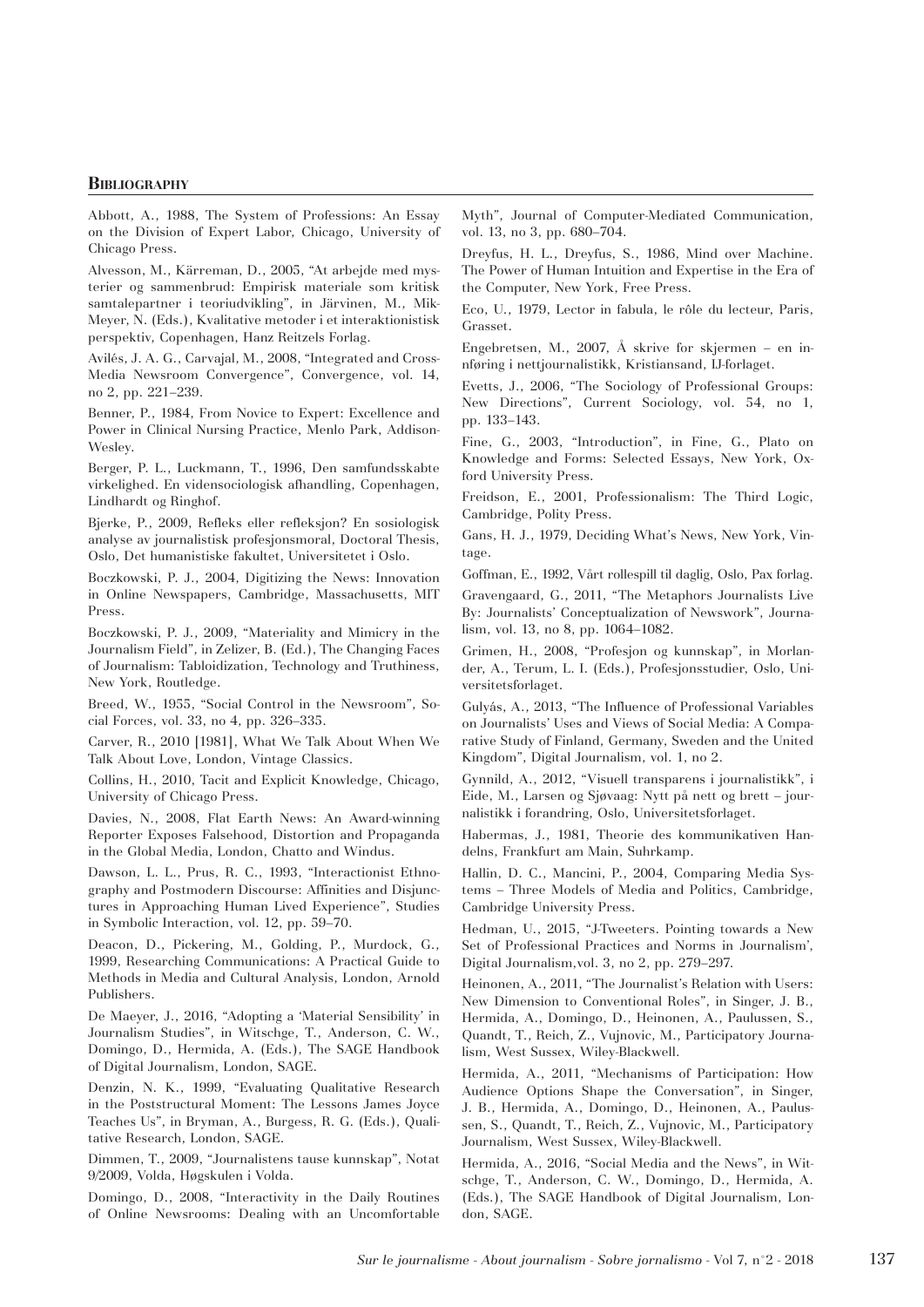## **Bibliography**

Abbott, A., 1988, The System of Professions: An Essay on the Division of Expert Labor, Chicago, University of Chicago Press.

Alvesson, M., Kärreman, D., 2005, "At arbejde med mysterier og sammenbrud: Empirisk materiale som kritisk samtalepartner i teoriudvikling", in Järvinen, M., Mik-Meyer, N. (Eds.), Kvalitative metoder i et interaktionistisk perspektiv, Copenhagen, Hanz Reitzels Forlag.

Avilés, J. A. G., Carvajal, M., 2008, "Integrated and Cross-Media Newsroom Convergence", Convergence, vol. 14, no 2, pp. 221–239.

Benner, P., 1984, From Novice to Expert: Excellence and Power in Clinical Nursing Practice, Menlo Park, Addison-Wesley.

Berger, P. L., Luckmann, T., 1996, Den samfundsskabte virkelighed. En vidensociologisk afhandling, Copenhagen, Lindhardt og Ringhof.

Bjerke, P., 2009, Refleks eller refleksjon? En sosiologisk analyse av journalistisk profesjonsmoral, Doctoral Thesis, Oslo, Det humanistiske fakultet, Universitetet i Oslo.

Boczkowski, P. J., 2004, Digitizing the News: Innovation in Online Newspapers, Cambridge, Massachusetts, MIT Press.

Boczkowski, P. J., 2009, "Materiality and Mimicry in the Journalism Field", in Zelizer, B. (Ed.), The Changing Faces of Journalism: Tabloidization, Technology and Truthiness, New York, Routledge.

Breed, W., 1955, "Social Control in the Newsroom", Social Forces, vol. 33, no 4, pp. 326–335.

Carver, R., 2010 [1981], What We Talk About When We Talk About Love, London, Vintage Classics.

Collins, H., 2010, Tacit and Explicit Knowledge, Chicago, University of Chicago Press.

Davies, N., 2008, Flat Earth News: An Award-winning Reporter Exposes Falsehood, Distortion and Propaganda in the Global Media, London, Chatto and Windus.

Dawson, L. L., Prus, R. C., 1993, "Interactionist Ethnography and Postmodern Discourse: Affinities and Disjunctures in Approaching Human Lived Experience", Studies in Symbolic Interaction, vol. 12, pp. 59–70.

Deacon, D., Pickering, M., Golding, P., Murdock, G., 1999, Researching Communications: A Practical Guide to Methods in Media and Cultural Analysis, London, Arnold Publishers.

De Maeyer, J., 2016, "Adopting a 'Material Sensibility' in Journalism Studies", in Witschge, T., Anderson, C. W., Domingo, D., Hermida, A. (Eds.), The SAGE Handbook of Digital Journalism, London, SAGE.

Denzin, N. K., 1999, "Evaluating Qualitative Research in the Poststructural Moment: The Lessons James Joyce Teaches Us", in Bryman, A., Burgess, R. G. (Eds.), Qualitative Research, London, SAGE.

Dimmen, T., 2009, "Journalistens tause kunnskap", Notat 9/2009, Volda, Høgskulen i Volda.

Domingo, D., 2008, "Interactivity in the Daily Routines of Online Newsrooms: Dealing with an Uncomfortable

Myth", Journal of Computer-Mediated Communication, vol. 13, no 3, pp. 680–704.

Dreyfus, H. L., Dreyfus, S., 1986, Mind over Machine. The Power of Human Intuition and Expertise in the Era of the Computer, New York, Free Press.

Eco, U., 1979, Lector in fabula, le rôle du lecteur, Paris, Grasset.

Engebretsen, M., 2007, Å skrive for skjermen – en innføring i nettjournalistikk, Kristiansand, IJ-forlaget.

Evetts, J., 2006, "The Sociology of Professional Groups: New Directions", Current Sociology, vol. 54, no 1, pp. 133–143.

Fine, G., 2003, "Introduction", in Fine, G., Plato on Knowledge and Forms: Selected Essays, New York, Oxford University Press.

Freidson, E., 2001, Professionalism: The Third Logic, Cambridge, Polity Press.

Gans, H. J., 1979, Deciding What's News, New York, Vintage.

Goffman, E., 1992, Vårt rollespill til daglig, Oslo, Pax forlag.

Gravengaard, G., 2011, "The Metaphors Journalists Live By: Journalists' Conceptualization of Newswork", Journalism, vol. 13, no 8, pp. 1064–1082.

Grimen, H., 2008, "Profesjon og kunnskap", in Morlander, A., Terum, L. I. (Eds.), Profesjonsstudier, Oslo, Universitetsforlaget.

Gulyás, A., 2013, "The Influence of Professional Variables on Journalists' Uses and Views of Social Media: A Comparative Study of Finland, Germany, Sweden and the United Kingdom", Digital Journalism, vol. 1, no 2.

Gynnild, A., 2012, "Visuell transparens i journalistikk", i Eide, M., Larsen og Sjøvaag: Nytt på nett og brett – journalistikk i forandring, Oslo, Universitetsforlaget.

Habermas, J., 1981, Theorie des kommunikativen Handelns, Frankfurt am Main, Suhrkamp.

Hallin, D. C., Mancini, P., 2004, Comparing Media Systems – Three Models of Media and Politics, Cambridge, Cambridge University Press.

Hedman, U., 2015, "J-Tweeters. Pointing towards a New Set of Professional Practices and Norms in Journalism', Digital Journalism,vol. 3, no 2, pp. 279–297.

Heinonen, A., 2011, "The Journalist's Relation with Users: New Dimension to Conventional Roles", in Singer, J. B., Hermida, A., Domingo, D., Heinonen, A., Paulussen, S., Quandt, T., Reich, Z., Vujnovic, M., Participatory Journalism, West Sussex, Wiley-Blackwell.

Hermida, A., 2011, "Mechanisms of Participation: How Audience Options Shape the Conversation", in Singer, J. B., Hermida, A., Domingo, D., Heinonen, A., Paulussen, S., Quandt, T., Reich, Z., Vujnovic, M., Participatory Journalism, West Sussex, Wiley-Blackwell.

Hermida, A., 2016, "Social Media and the News", in Witschge, T., Anderson, C. W., Domingo, D., Hermida, A. (Eds.), The SAGE Handbook of Digital Journalism, London, SAGE.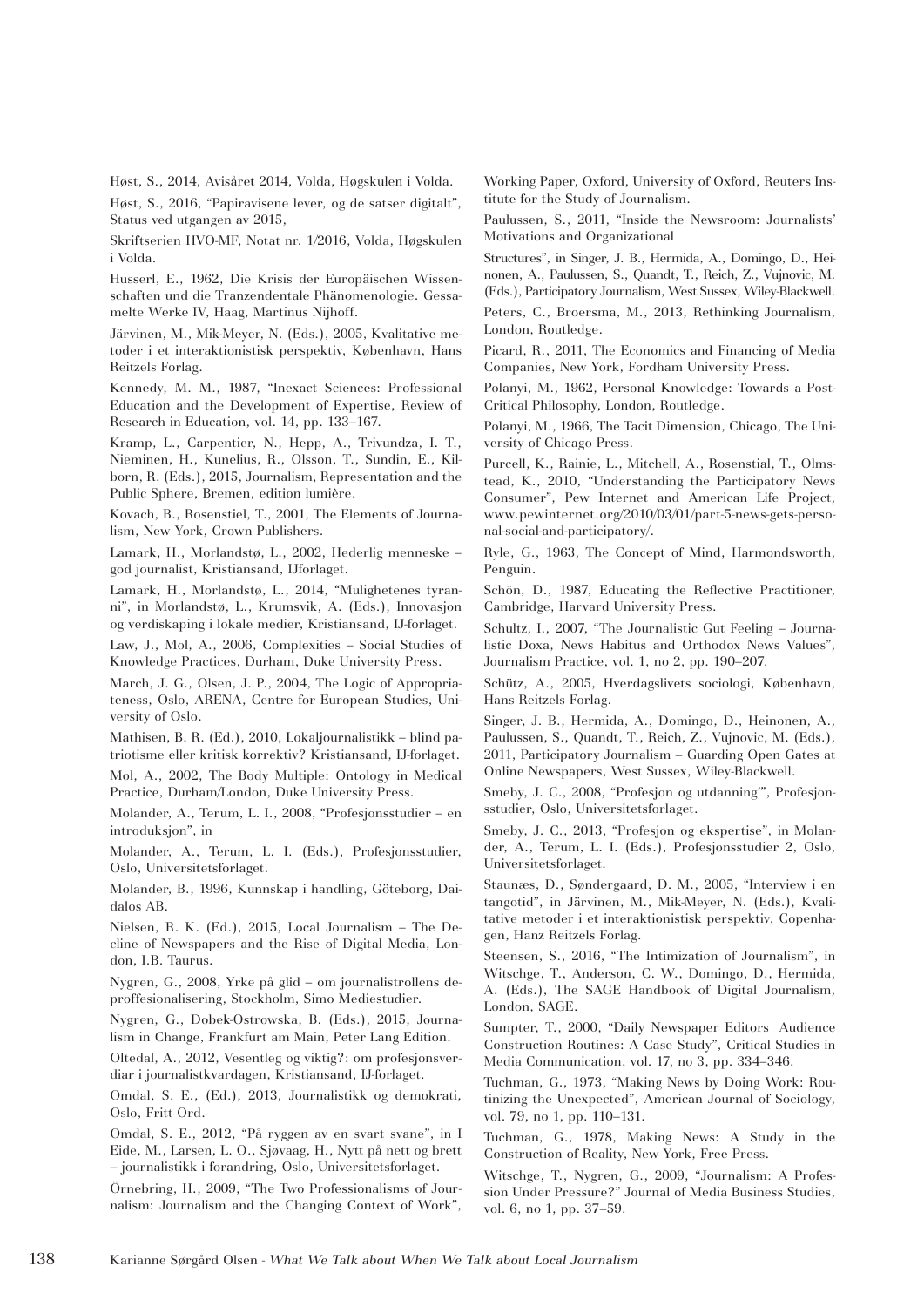Høst, S., 2014, Avisåret 2014, Volda, Høgskulen i Volda. Høst, S., 2016, "Papiravisene lever, og de satser digitalt", Status ved utgangen av 2015,

Skriftserien HVO-MF, Notat nr. 1/2016, Volda, Høgskulen i Volda.

Husserl, E., 1962, Die Krisis der Europäischen Wissenschaften und die Tranzendentale Phänomenologie. Gessamelte Werke IV, Haag, Martinus Nijhoff.

Järvinen, M., Mik-Meyer, N. (Eds.), 2005, Kvalitative metoder i et interaktionistisk perspektiv, København, Hans Reitzels Forlag.

Kennedy, M. M., 1987, "Inexact Sciences: Professional Education and the Development of Expertise, Review of Research in Education, vol. 14, pp. 133–167.

Kramp, L., Carpentier, N., Hepp, A., Trivundza, I. T., Nieminen, H., Kunelius, R., Olsson, T., Sundin, E., Kilborn, R. (Eds.), 2015, Journalism, Representation and the Public Sphere, Bremen, edition lumière.

Kovach, B., Rosenstiel, T., 2001, The Elements of Journalism, New York, Crown Publishers.

Lamark, H., Morlandstø, L., 2002, Hederlig menneske – god journalist, Kristiansand, IJforlaget.

Lamark, H., Morlandstø, L., 2014, "Mulighetenes tyranni", in Morlandstø, L., Krumsvik, A. (Eds.), Innovasjon og verdiskaping i lokale medier, Kristiansand, IJ-forlaget.

Law, J., Mol, A., 2006, Complexities – Social Studies of Knowledge Practices, Durham, Duke University Press.

March, J. G., Olsen, J. P., 2004, The Logic of Appropriateness, Oslo, ARENA, Centre for European Studies, University of Oslo.

Mathisen, B. R. (Ed.), 2010, Lokaljournalistikk – blind patriotisme eller kritisk korrektiv? Kristiansand, IJ-forlaget.

Mol, A., 2002, The Body Multiple: Ontology in Medical Practice, Durham/London, Duke University Press.

Molander, A., Terum, L. I., 2008, "Profesjonsstudier – en introduksjon", in

Molander, A., Terum, L. I. (Eds.), Profesjonsstudier, Oslo, Universitetsforlaget.

Molander, B., 1996, Kunnskap i handling, Göteborg, Daidalos AB.

Nielsen, R. K. (Ed.), 2015, Local Journalism – The Decline of Newspapers and the Rise of Digital Media, London, I.B. Taurus.

Nygren, G., 2008, Yrke på glid – om journalistrollens deproffesionalisering, Stockholm, Simo Mediestudier.

Nygren, G., Dobek-Ostrowska, B. (Eds.), 2015, Journalism in Change, Frankfurt am Main, Peter Lang Edition.

Oltedal, A., 2012, Vesentleg og viktig?: om profesjonsverdiar i journalistkvardagen, Kristiansand, IJ-forlaget.

Omdal, S. E., (Ed.), 2013, Journalistikk og demokrati, Oslo, Fritt Ord.

Omdal, S. E., 2012, "På ryggen av en svart svane", in I Eide, M., Larsen, L. O., Sjøvaag, H., Nytt på nett og brett – journalistikk i forandring, Oslo, Universitetsforlaget.

Örnebring, H., 2009, "The Two Professionalisms of Journalism: Journalism and the Changing Context of Work", Working Paper, Oxford, University of Oxford, Reuters Institute for the Study of Journalism.

Paulussen, S., 2011, "Inside the Newsroom: Journalists' Motivations and Organizational

Structures", in Singer, J. B., Hermida, A., Domingo, D., Heinonen, A., Paulussen, S., Quandt, T., Reich, Z., Vujnovic, M. (Eds.), Participatory Journalism, West Sussex, Wiley-Blackwell.

Peters, C., Broersma, M., 2013, Rethinking Journalism, London, Routledge.

Picard, R., 2011, The Economics and Financing of Media Companies, New York, Fordham University Press.

Polanyi, M., 1962, Personal Knowledge: Towards a Post-Critical Philosophy, London, Routledge.

Polanyi, M., 1966, The Tacit Dimension, Chicago, The University of Chicago Press.

Purcell, K., Rainie, L., Mitchell, A., Rosenstial, T., Olmstead, K., 2010, "Understanding the Participatory News Consumer", Pew Internet and American Life Project, www.pewinternet.org/2010/03/01/part-5-news-gets-personal-social-and-participatory/.

Ryle, G., 1963, The Concept of Mind, Harmondsworth, Penguin.

Schön, D., 1987, Educating the Reflective Practitioner, Cambridge, Harvard University Press.

Schultz, I., 2007, "The Journalistic Gut Feeling – Journalistic Doxa, News Habitus and Orthodox News Values", Journalism Practice, vol. 1, no 2, pp. 190–207.

Schütz, A., 2005, Hverdagslivets sociologi, København, Hans Reitzels Forlag.

Singer, J. B., Hermida, A., Domingo, D., Heinonen, A., Paulussen, S., Quandt, T., Reich, Z., Vujnovic, M. (Eds.), 2011, Participatory Journalism – Guarding Open Gates at Online Newspapers, West Sussex, Wiley-Blackwell.

Smeby, J. C., 2008, "Profesjon og utdanning'", Profesjonsstudier, Oslo, Universitetsforlaget.

Smeby, J. C., 2013, "Profesjon og ekspertise", in Molander, A., Terum, L. I. (Eds.), Profesjonsstudier 2, Oslo, Universitetsforlaget.

Staunæs, D., Søndergaard, D. M., 2005, "Interview i en tangotid", in Järvinen, M., Mik-Meyer, N. (Eds.), Kvalitative metoder i et interaktionistisk perspektiv, Copenhagen, Hanz Reitzels Forlag.

Steensen, S., 2016, "The Intimization of Journalism", in Witschge, T., Anderson, C. W., Domingo, D., Hermida, A. (Eds.), The SAGE Handbook of Digital Journalism, London, SAGE.

Sumpter, T., 2000, "Daily Newspaper Editors Audience Construction Routines: A Case Study", Critical Studies in Media Communication, vol. 17, no 3, pp. 334–346.

Tuchman, G., 1973, "Making News by Doing Work: Routinizing the Unexpected", American Journal of Sociology, vol. 79, no 1, pp. 110–131.

Tuchman, G., 1978, Making News: A Study in the Construction of Reality, New York, Free Press.

Witschge, T., Nygren, G., 2009, "Journalism: A Profession Under Pressure?" Journal of Media Business Studies, vol. 6, no 1, pp. 37–59.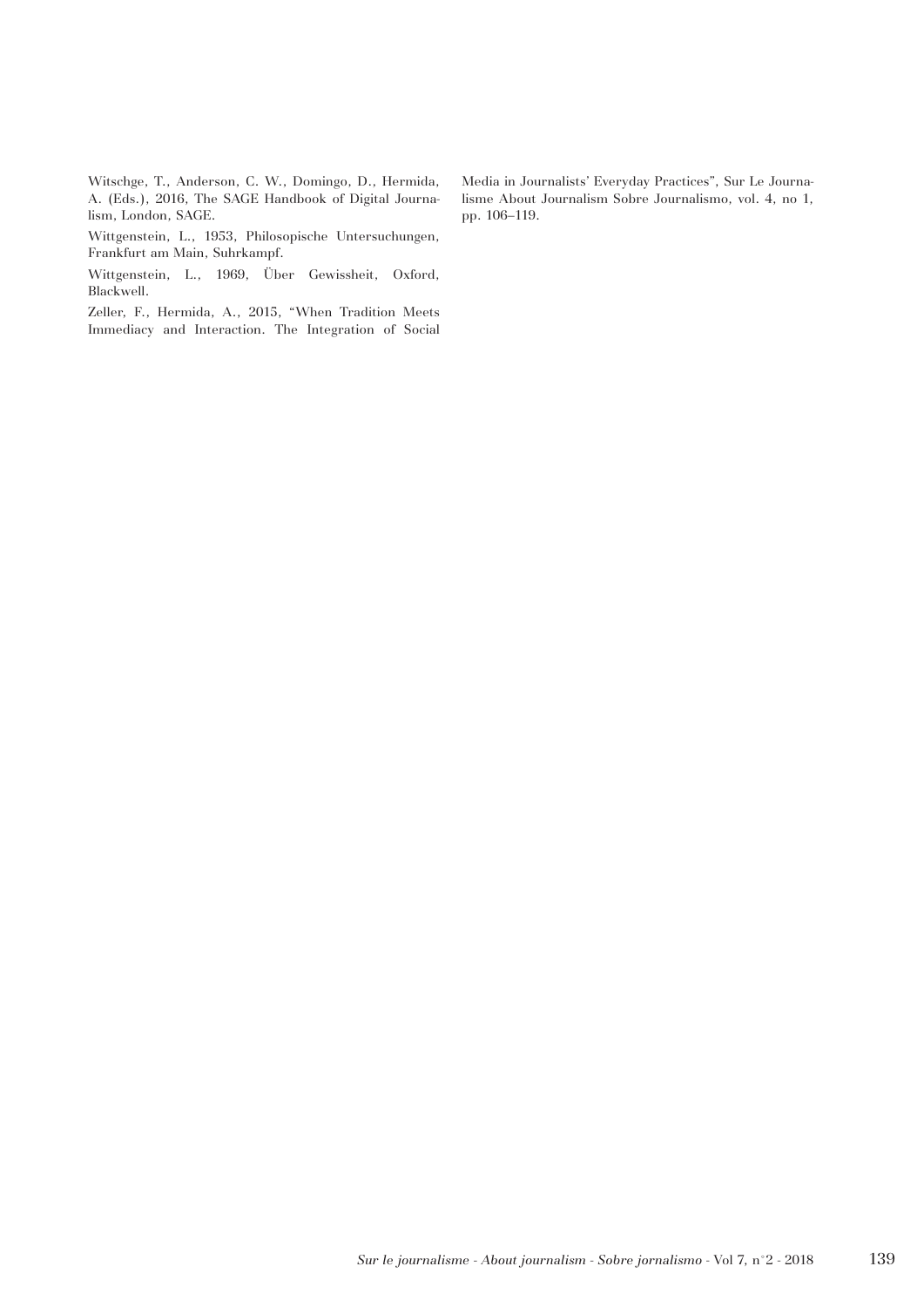Witschge, T., Anderson, C. W., Domingo, D., Hermida, A. (Eds.), 2016, The SAGE Handbook of Digital Journalism, London, SAGE.

Wittgenstein, L., 1953, Philosopische Untersuchungen, Frankfurt am Main, Suhrkampf.

Wittgenstein, L., 1969, Über Gewissheit, Oxford, Blackwell.

Zeller, F., Hermida, A., 2015, "When Tradition Meets Immediacy and Interaction. The Integration of Social

Media in Journalists' Everyday Practices", Sur Le Journalisme About Journalism Sobre Journalismo, vol. 4, no 1, pp. 106–119.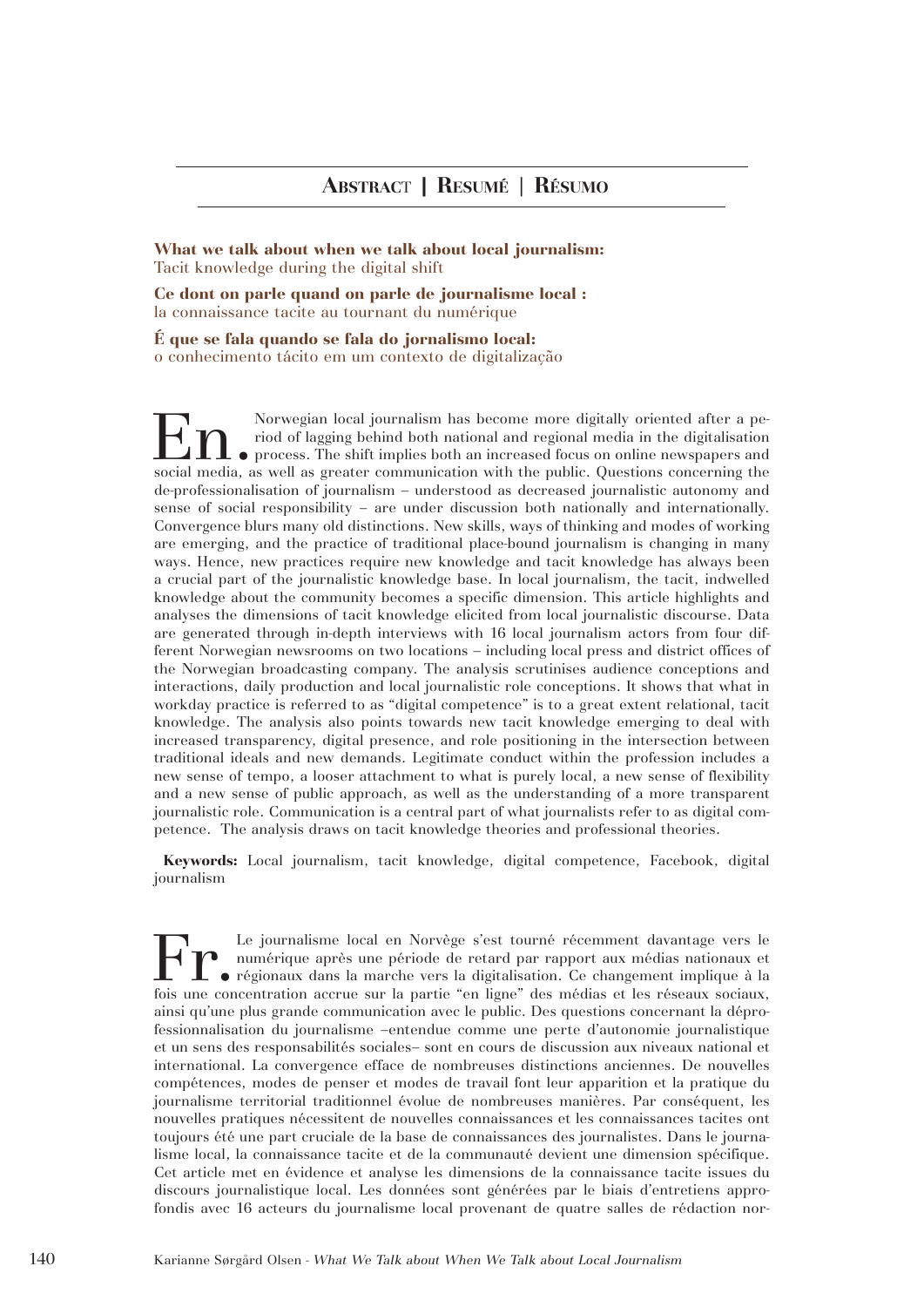**What we talk about when we talk about local journalism:**  Tacit knowledge during the digital shift

**Ce dont on parle quand on parle de journalisme local :**  la connaissance tacite au tournant du numérique

**É que se fala quando se fala do jornalismo local:**  o conhecimento tácito em um contexto de digitalização

Norwegian local journalism has become more digitally oriented after a pe-<br>riod of lagging behind both national and regional media in the digitalisation<br>process. The shift implies both an increased focus on online newspaper riod of lagging behind both national and regional media in the digitalisation process. The shift implies both an increased focus on online newspapers and social media, as well as greater communication with the public. Questions concerning the de-professionalisation of journalism – understood as decreased journalistic autonomy and sense of social responsibility – are under discussion both nationally and internationally. Convergence blurs many old distinctions. New skills, ways of thinking and modes of working are emerging, and the practice of traditional place-bound journalism is changing in many ways. Hence, new practices require new knowledge and tacit knowledge has always been a crucial part of the journalistic knowledge base. In local journalism, the tacit, indwelled knowledge about the community becomes a specific dimension. This article highlights and analyses the dimensions of tacit knowledge elicited from local journalistic discourse. Data are generated through in-depth interviews with 16 local journalism actors from four different Norwegian newsrooms on two locations – including local press and district offices of the Norwegian broadcasting company. The analysis scrutinises audience conceptions and interactions, daily production and local journalistic role conceptions. It shows that what in workday practice is referred to as "digital competence" is to a great extent relational, tacit knowledge. The analysis also points towards new tacit knowledge emerging to deal with increased transparency, digital presence, and role positioning in the intersection between traditional ideals and new demands. Legitimate conduct within the profession includes a new sense of tempo, a looser attachment to what is purely local, a new sense of flexibility and a new sense of public approach, as well as the understanding of a more transparent journalistic role. Communication is a central part of what journalists refer to as digital competence. The analysis draws on tacit knowledge theories and professional theories.

 **Keywords:** Local journalism, tacit knowledge, digital competence, Facebook, digital journalism

Le journalisme local en Norvège s'est tourné récemment davantage vers le<br>
numérique après une période de retard par rapport aux médias nationaux et<br>
orégionaux dans la marche vers la digitalisation. Ce changement implique numérique après une période de retard par rapport aux médias nationaux et régionaux dans la marche vers la digitalisation. Ce changement implique à la fois une concentration accrue sur la partie "en ligne" des médias et les réseaux sociaux, ainsi qu'une plus grande communication avec le public. Des questions concernant la déprofessionnalisation du journalisme –entendue comme une perte d'autonomie journalistique et un sens des responsabilités sociales– sont en cours de discussion aux niveaux national et international. La convergence efface de nombreuses distinctions anciennes. De nouvelles compétences, modes de penser et modes de travail font leur apparition et la pratique du journalisme territorial traditionnel évolue de nombreuses manières. Par conséquent, les nouvelles pratiques nécessitent de nouvelles connaissances et les connaissances tacites ont toujours été une part cruciale de la base de connaissances des journalistes. Dans le journalisme local, la connaissance tacite et de la communauté devient une dimension spécifique. Cet article met en évidence et analyse les dimensions de la connaissance tacite issues du discours journalistique local. Les données sont générées par le biais d'entretiens approfondis avec 16 acteurs du journalisme local provenant de quatre salles de rédaction nor